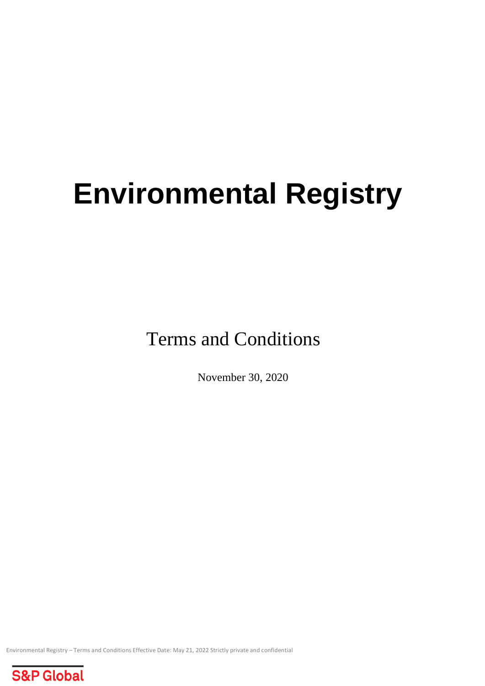# **Environmental Registry**

Terms and Conditions

November 30, 2020

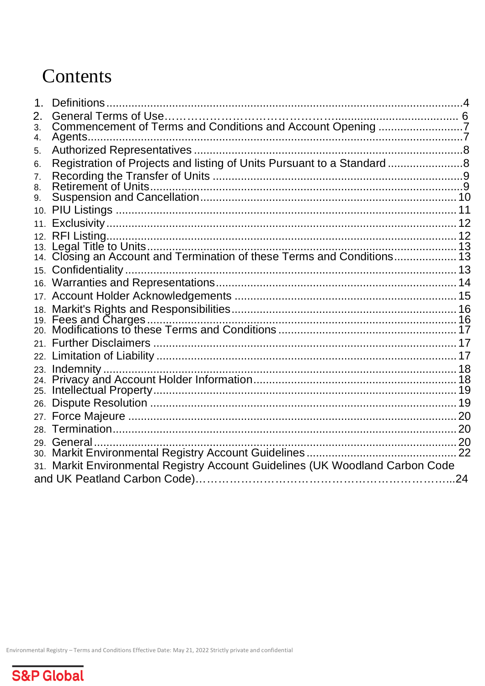# Contents

| 1 <sub>1</sub> | Definitions                                                                   |    |
|----------------|-------------------------------------------------------------------------------|----|
| 2.             |                                                                               |    |
| 3.             | Commencement of Terms and Conditions and Account Opening 7                    |    |
| 4.             |                                                                               |    |
| 5.             |                                                                               |    |
| 6.             | Registration of Projects and listing of Units Pursuant to a Standard8         |    |
| 7.             |                                                                               |    |
| 8.             | <b>Retirement of Units.</b>                                                   |    |
| 9.             |                                                                               |    |
| 10.            |                                                                               |    |
| 11.            |                                                                               |    |
|                |                                                                               |    |
|                |                                                                               |    |
|                |                                                                               |    |
|                |                                                                               |    |
|                |                                                                               |    |
|                |                                                                               |    |
|                |                                                                               |    |
|                |                                                                               |    |
|                |                                                                               |    |
|                |                                                                               |    |
|                | 23. Indemnity                                                                 |    |
| 24.            |                                                                               |    |
| 25.            |                                                                               |    |
| 26.            |                                                                               |    |
| 27.            |                                                                               |    |
|                |                                                                               |    |
|                | 29. General.                                                                  |    |
|                |                                                                               | 22 |
|                | 31. Markit Environmental Registry Account Guidelines (UK Woodland Carbon Code |    |
|                |                                                                               | 24 |
|                |                                                                               |    |

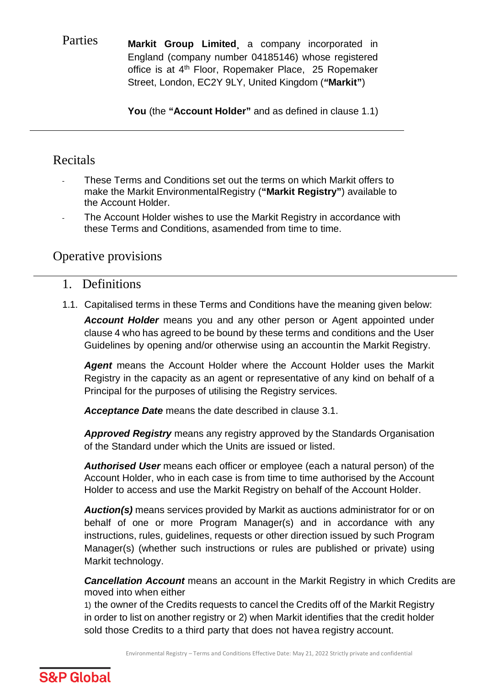Parties **Markit Group Limited¸** a company incorporated in England (company number 04185146) whose registered office is at 4th Floor, Ropemaker Place, 25 Ropemaker Street, London, EC2Y 9LY, United Kingdom (*"***Markit"**)

**You** (the **"Account Holder"** and as defined in clause 1.1)

# Recitals

- These Terms and Conditions set out the terms on which Markit offers to make the Markit EnvironmentalRegistry (**"Markit Registry"**) available to the Account Holder.
- The Account Holder wishes to use the Markit Registry in accordance with these Terms and Conditions, asamended from time to time.

# Operative provisions

#### <span id="page-2-0"></span>1. Definitions

1.1. Capitalised terms in these Terms and Conditions have the meaning given below: *Account Holder* means you and any other person or Agent appointed under clause 4 who has agreed to be bound by these terms and conditions and the User Guidelines by opening and/or otherwise using an accountin the Markit Registry.

Agent means the Account Holder where the Account Holder uses the Markit Registry in the capacity as an agent or representative of any kind on behalf of a Principal for the purposes of utilising the Registry services.

*Acceptance Date* means the date described in clause 3.1.

*Approved Registry* means any registry approved by the Standards Organisation of the Standard under which the Units are issued or listed.

*Authorised User* means each officer or employee (each a natural person) of the Account Holder, who in each case is from time to time authorised by the Account Holder to access and use the Markit Registry on behalf of the Account Holder.

*Auction(s)* means services provided by Markit as auctions administrator for or on behalf of one or more Program Manager(s) and in accordance with any instructions, rules, guidelines, requests or other direction issued by such Program Manager(s) (whether such instructions or rules are published or private) using Markit technology.

*Cancellation Account* means an account in the Markit Registry in which Credits are moved into when either

1) the owner of the Credits requests to cancel the Credits off of the Markit Registry in order to list on another registry or 2) when Markit identifies that the credit holder sold those Credits to a third party that does not havea registry account.

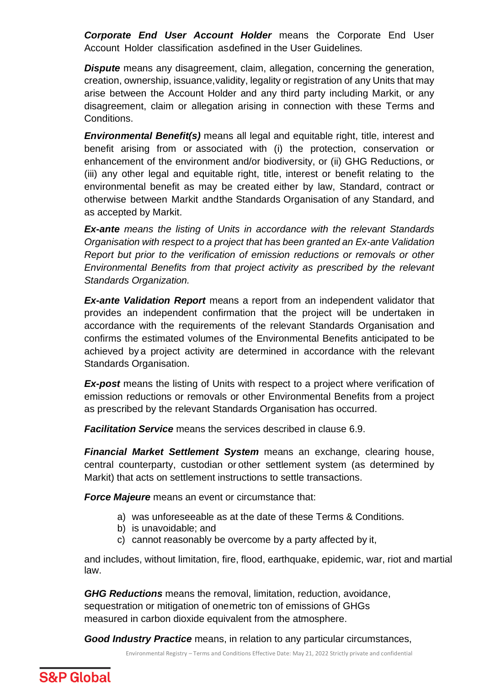*Corporate End User Account Holder* means the Corporate End User Account Holder classification asdefined in the User Guidelines.

*Dispute* means any disagreement, claim, allegation, concerning the generation, creation, ownership, issuance,validity, legality or registration of any Units that may arise between the Account Holder and any third party including Markit, or any disagreement, claim or allegation arising in connection with these Terms and Conditions.

*Environmental Benefit(s)* means all legal and equitable right, title, interest and benefit arising from or associated with (i) the protection, conservation or enhancement of the environment and/or biodiversity, or (ii) GHG Reductions, or (iii) any other legal and equitable right, title, interest or benefit relating to the environmental benefit as may be created either by law, Standard, contract or otherwise between Markit andthe Standards Organisation of any Standard, and as accepted by Markit.

*Ex-ante means the listing of Units in accordance with the relevant Standards Organisation with respect to a project that has been granted an Ex-ante Validation Report but prior to the verification of emission reductions or removals or other Environmental Benefits from that project activity as prescribed by the relevant Standards Organization.*

*Ex-ante Validation Report* means a report from an independent validator that provides an independent confirmation that the project will be undertaken in accordance with the requirements of the relevant Standards Organisation and confirms the estimated volumes of the Environmental Benefits anticipated to be achieved by a project activity are determined in accordance with the relevant Standards Organisation.

**Ex-post** means the listing of Units with respect to a project where verification of emission reductions or removals or other Environmental Benefits from a project as prescribed by the relevant Standards Organisation has occurred.

*Facilitation Service* means the services described in clause 6.9.

*Financial Market Settlement System* means an exchange, clearing house, central counterparty, custodian or other settlement system (as determined by Markit) that acts on settlement instructions to settle transactions.

*Force Majeure* means an event or circumstance that:

- a) was unforeseeable as at the date of these Terms & Conditions.
- b) is unavoidable; and
- c) cannot reasonably be overcome by a party affected by it,

and includes, without limitation, fire, flood, earthquake, epidemic, war, riot and martial law.

*GHG Reductions* means the removal, limitation, reduction, avoidance, sequestration or mitigation of onemetric ton of emissions of GHGs measured in carbon dioxide equivalent from the atmosphere.

*Good Industry Practice* means, in relation to any particular circumstances,

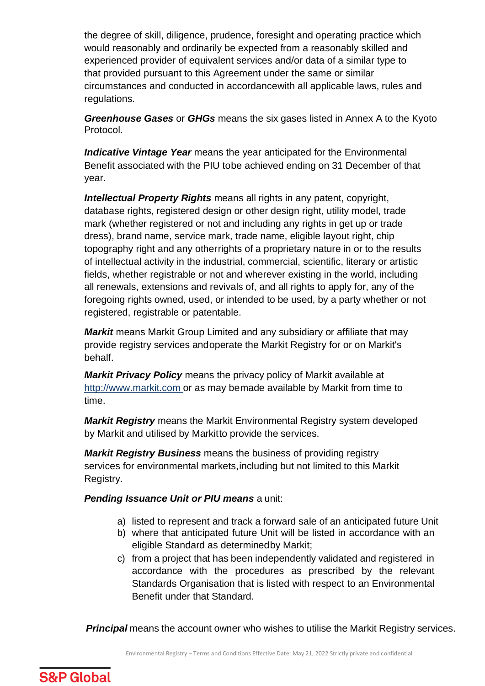the degree of skill, diligence, prudence, foresight and operating practice which would reasonably and ordinarily be expected from a reasonably skilled and experienced provider of equivalent services and/or data of a similar type to that provided pursuant to this Agreement under the same or similar circumstances and conducted in accordancewith all applicable laws, rules and regulations.

*Greenhouse Gases* or *GHGs* means the six gases listed in Annex A to the Kyoto Protocol.

*Indicative Vintage Year* means the year anticipated for the Environmental Benefit associated with the PIU tobe achieved ending on 31 December of that year.

*Intellectual Property Rights* means all rights in any patent, copyright, database rights, registered design or other design right, utility model, trade mark (whether registered or not and including any rights in get up or trade dress), brand name, service mark, trade name, eligible layout right, chip topography right and any otherrights of a proprietary nature in or to the results of intellectual activity in the industrial, commercial, scientific, literary or artistic fields, whether registrable or not and wherever existing in the world, including all renewals, extensions and revivals of, and all rights to apply for, any of the foregoing rights owned, used, or intended to be used, by a party whether or not registered, registrable or patentable.

*Markit* means Markit Group Limited and any subsidiary or affiliate that may provide registry services andoperate the Markit Registry for or on Markit's behalf.

*Markit Privacy Policy* means the privacy policy of Markit available at [http://www.markit.com o](http://www.markit.com/)r as may bemade available by Markit from time to time.

*Markit Registry* means the Markit Environmental Registry system developed by Markit and utilised by Markitto provide the services.

*Markit Registry Business* means the business of providing registry services for environmental markets,including but not limited to this Markit Registry.

*Pending Issuance Unit or PIU means* a unit:

- a) listed to represent and track a forward sale of an anticipated future Unit
- b) where that anticipated future Unit will be listed in accordance with an eligible Standard as determinedby Markit;
- c) from a project that has been independently validated and registered in accordance with the procedures as prescribed by the relevant Standards Organisation that is listed with respect to an Environmental Benefit under that Standard.

 *Principal* means the account owner who wishes to utilise the Markit Registry services.

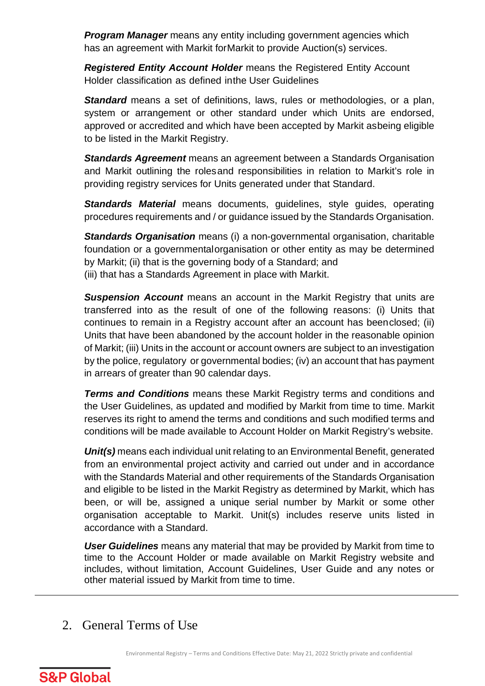**Program Manager** means any entity including government agencies which has an agreement with Markit forMarkit to provide Auction(s) services.

*Registered Entity Account Holder* means the Registered Entity Account Holder classification as defined inthe User Guidelines

**Standard** means a set of definitions, laws, rules or methodologies, or a plan, system or arrangement or other standard under which Units are endorsed, approved or accredited and which have been accepted by Markit asbeing eligible to be listed in the Markit Registry.

*Standards Agreement* means an agreement between a Standards Organisation and Markit outlining the rolesand responsibilities in relation to Markit's role in providing registry services for Units generated under that Standard.

**Standards Material** means documents, quidelines, style quides, operating procedures requirements and / or guidance issued by the Standards Organisation.

*Standards Organisation* means (i) a non-governmental organisation, charitable foundation or a governmentalorganisation or other entity as may be determined by Markit; (ii) that is the governing body of a Standard; and (iii) that has a Standards Agreement in place with Markit.

**Suspension Account** means an account in the Markit Registry that units are transferred into as the result of one of the following reasons: (i) Units that continues to remain in a Registry account after an account has beenclosed; (ii) Units that have been abandoned by the account holder in the reasonable opinion of Markit; (iii) Units in the account or account owners are subject to an investigation by the police, regulatory or governmental bodies; (iv) an account that has payment in arrears of greater than 90 calendar days.

*Terms and Conditions* means these Markit Registry terms and conditions and the User Guidelines, as updated and modified by Markit from time to time. Markit reserves its right to amend the terms and conditions and such modified terms and conditions will be made available to Account Holder on Markit Registry's website.

*Unit(s)* means each individual unit relating to an Environmental Benefit, generated from an environmental project activity and carried out under and in accordance with the Standards Material and other requirements of the Standards Organisation and eligible to be listed in the Markit Registry as determined by Markit, which has been, or will be, assigned a unique serial number by Markit or some other organisation acceptable to Markit. Unit(s) includes reserve units listed in accordance with a Standard.

*User Guidelines* means any material that may be provided by Markit from time to time to the Account Holder or made available on Markit Registry website and includes, without limitation, Account Guidelines, User Guide and any notes or other material issued by Markit from time to time.

<span id="page-5-0"></span>2. General Terms of Use

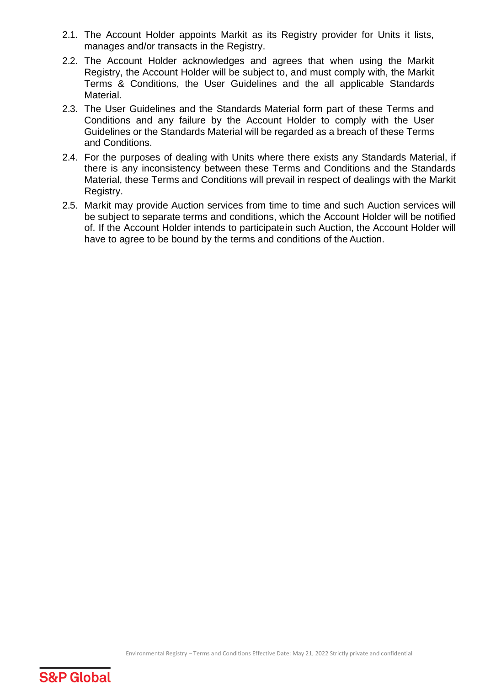- 2.1. The Account Holder appoints Markit as its Registry provider for Units it lists, manages and/or transacts in the Registry.
- 2.2. The Account Holder acknowledges and agrees that when using the Markit Registry, the Account Holder will be subject to, and must comply with, the Markit Terms & Conditions, the User Guidelines and the all applicable Standards Material.
- 2.3. The User Guidelines and the Standards Material form part of these Terms and Conditions and any failure by the Account Holder to comply with the User Guidelines or the Standards Material will be regarded as a breach of these Terms and Conditions.
- 2.4. For the purposes of dealing with Units where there exists any Standards Material, if there is any inconsistency between these Terms and Conditions and the Standards Material, these Terms and Conditions will prevail in respect of dealings with the Markit Registry.
- 2.5. Markit may provide Auction services from time to time and such Auction services will be subject to separate terms and conditions, which the Account Holder will be notified of. If the Account Holder intends to participatein such Auction, the Account Holder will have to agree to be bound by the terms and conditions of the Auction.

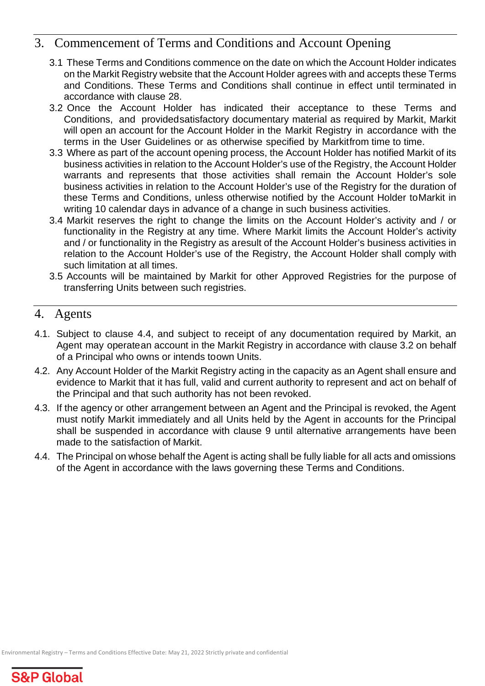# <span id="page-7-0"></span>3. Commencement of Terms and Conditions and Account Opening

- 3.1 These Terms and Conditions commence on the date on which the Account Holder indicates on the Markit Registry website that the Account Holder agrees with and accepts these Terms and Conditions. These Terms and Conditions shall continue in effect until terminated in accordance with clause 28.
- 3.2 Once the Account Holder has indicated their acceptance to these Terms and Conditions, and providedsatisfactory documentary material as required by Markit, Markit will open an account for the Account Holder in the Markit Registry in accordance with the terms in the User Guidelines or as otherwise specified by Markitfrom time to time.
- 3.3 Where as part of the account opening process, the Account Holder has notified Markit of its business activities in relation to the Account Holder's use of the Registry, the Account Holder warrants and represents that those activities shall remain the Account Holder's sole business activities in relation to the Account Holder's use of the Registry for the duration of these Terms and Conditions, unless otherwise notified by the Account Holder toMarkit in writing 10 calendar days in advance of a change in such business activities.
- 3.4 Markit reserves the right to change the limits on the Account Holder's activity and / or functionality in the Registry at any time. Where Markit limits the Account Holder's activity and / or functionality in the Registry as aresult of the Account Holder's business activities in relation to the Account Holder's use of the Registry, the Account Holder shall comply with such limitation at all times.
- 3.5 Accounts will be maintained by Markit for other Approved Registries for the purpose of transferring Units between such registries.

# <span id="page-7-1"></span>4. Agents

- 4.1. Subject to clause 4.4, and subject to receipt of any documentation required by Markit, an Agent may operatean account in the Markit Registry in accordance with clause 3.2 on behalf of a Principal who owns or intends toown Units.
- 4.2. Any Account Holder of the Markit Registry acting in the capacity as an Agent shall ensure and evidence to Markit that it has full, valid and current authority to represent and act on behalf of the Principal and that such authority has not been revoked.
- 4.3. If the agency or other arrangement between an Agent and the Principal is revoked, the Agent must notify Markit immediately and all Units held by the Agent in accounts for the Principal shall be suspended in accordance with clause 9 until alternative arrangements have been made to the satisfaction of Markit.
- 4.4. The Principal on whose behalf the Agent is acting shall be fully liable for all acts and omissions of the Agent in accordance with the laws governing these Terms and Conditions.

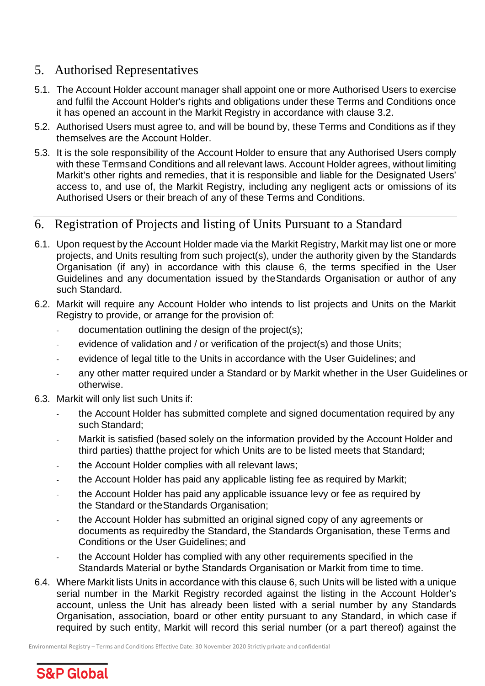# <span id="page-8-0"></span>5. Authorised Representatives

- 5.1. The Account Holder account manager shall appoint one or more Authorised Users to exercise and fulfil the Account Holder's rights and obligations under these Terms and Conditions once it has opened an account in the Markit Registry in accordance with clause 3.2.
- 5.2. Authorised Users must agree to, and will be bound by, these Terms and Conditions as if they themselves are the Account Holder.
- 5.3. It is the sole responsibility of the Account Holder to ensure that any Authorised Users comply with these Termsand Conditions and all relevant laws. Account Holder agrees, without limiting Markit's other rights and remedies, that it is responsible and liable for the Designated Users' access to, and use of, the Markit Registry, including any negligent acts or omissions of its Authorised Users or their breach of any of these Terms and Conditions.

# <span id="page-8-1"></span>6. Registration of Projects and listing of Units Pursuant to a Standard

- 6.1. Upon request by the Account Holder made via the Markit Registry, Markit may list one or more projects, and Units resulting from such project(s), under the authority given by the Standards Organisation (if any) in accordance with this clause 6, the terms specified in the User Guidelines and any documentation issued by theStandards Organisation or author of any such Standard.
- 6.2. Markit will require any Account Holder who intends to list projects and Units on the Markit Registry to provide, or arrange for the provision of:
	- documentation outlining the design of the project(s);
	- evidence of validation and / or verification of the project(s) and those Units;
	- evidence of legal title to the Units in accordance with the User Guidelines; and
	- any other matter required under a Standard or by Markit whether in the User Guidelines or otherwise.
- 6.3. Markit will only list such Units if:
	- the Account Holder has submitted complete and signed documentation required by any such Standard;
	- Markit is satisfied (based solely on the information provided by the Account Holder and third parties) thatthe project for which Units are to be listed meets that Standard;
	- the Account Holder complies with all relevant laws;
	- the Account Holder has paid any applicable listing fee as required by Markit:
	- the Account Holder has paid any applicable issuance levy or fee as required by the Standard or theStandards Organisation;
	- the Account Holder has submitted an original signed copy of any agreements or documents as requiredby the Standard, the Standards Organisation, these Terms and Conditions or the User Guidelines; and
	- the Account Holder has complied with any other requirements specified in the Standards Material or bythe Standards Organisation or Markit from time to time.
- 6.4. Where Markit lists Units in accordance with this clause 6, such Units will be listed with a unique serial number in the Markit Registry recorded against the listing in the Account Holder's account, unless the Unit has already been listed with a serial number by any Standards Organisation, association, board or other entity pursuant to any Standard, in which case if required by such entity, Markit will record this serial number (or a part thereof) against the

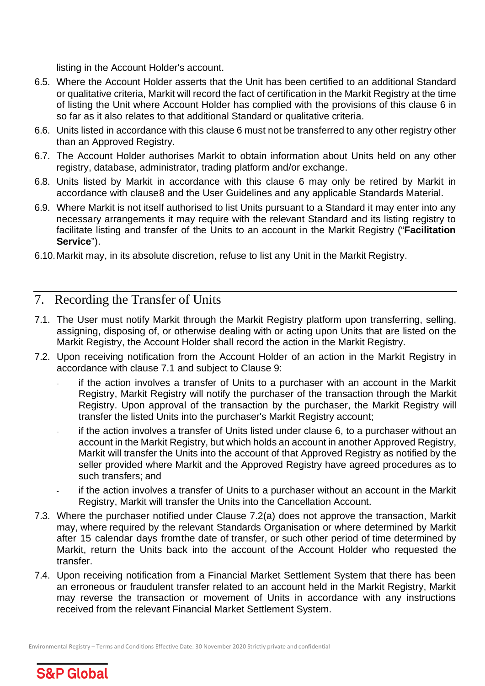listing in the Account Holder's account.

- 6.5. Where the Account Holder asserts that the Unit has been certified to an additional Standard or qualitative criteria, Markit will record the fact of certification in the Markit Registry at the time of listing the Unit where Account Holder has complied with the provisions of this clause 6 in so far as it also relates to that additional Standard or qualitative criteria.
- 6.6. Units listed in accordance with this clause 6 must not be transferred to any other registry other than an Approved Registry.
- 6.7. The Account Holder authorises Markit to obtain information about Units held on any other registry, database, administrator, trading platform and/or exchange.
- 6.8. Units listed by Markit in accordance with this clause 6 may only be retired by Markit in accordance with clause8 and the User Guidelines and any applicable Standards Material.
- 6.9. Where Markit is not itself authorised to list Units pursuant to a Standard it may enter into any necessary arrangements it may require with the relevant Standard and its listing registry to facilitate listing and transfer of the Units to an account in the Markit Registry ("**Facilitation Service**").
- 6.10.Markit may, in its absolute discretion, refuse to list any Unit in the Markit Registry.

# <span id="page-9-0"></span>7. Recording the Transfer of Units

- 7.1. The User must notify Markit through the Markit Registry platform upon transferring, selling, assigning, disposing of, or otherwise dealing with or acting upon Units that are listed on the Markit Registry, the Account Holder shall record the action in the Markit Registry.
- 7.2. Upon receiving notification from the Account Holder of an action in the Markit Registry in accordance with clause 7.1 and subject to Clause 9:
	- if the action involves a transfer of Units to a purchaser with an account in the Markit Registry, Markit Registry will notify the purchaser of the transaction through the Markit Registry. Upon approval of the transaction by the purchaser, the Markit Registry will transfer the listed Units into the purchaser's Markit Registry account;
	- if the action involves a transfer of Units listed under clause 6, to a purchaser without an account in the Markit Registry, but which holds an account in another Approved Registry, Markit will transfer the Units into the account of that Approved Registry as notified by the seller provided where Markit and the Approved Registry have agreed procedures as to such transfers; and
	- if the action involves a transfer of Units to a purchaser without an account in the Markit Registry, Markit will transfer the Units into the Cancellation Account.
- 7.3. Where the purchaser notified under Clause 7.2(a) does not approve the transaction, Markit may, where required by the relevant Standards Organisation or where determined by Markit after 15 calendar days fromthe date of transfer, or such other period of time determined by Markit, return the Units back into the account of the Account Holder who requested the transfer.
- 7.4. Upon receiving notification from a Financial Market Settlement System that there has been an erroneous or fraudulent transfer related to an account held in the Markit Registry, Markit may reverse the transaction or movement of Units in accordance with any instructions received from the relevant Financial Market Settlement System.

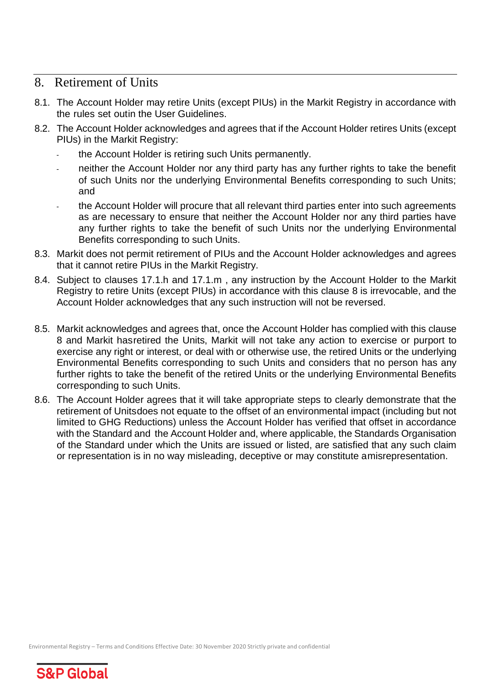#### <span id="page-10-0"></span>8. Retirement of Units

- 8.1. The Account Holder may retire Units (except PIUs) in the Markit Registry in accordance with the rules set outin the User Guidelines.
- 8.2. The Account Holder acknowledges and agrees that if the Account Holder retires Units (except PIUs) in the Markit Registry:
	- the Account Holder is retiring such Units permanently.
	- neither the Account Holder nor any third party has any further rights to take the benefit of such Units nor the underlying Environmental Benefits corresponding to such Units; and
	- the Account Holder will procure that all relevant third parties enter into such agreements as are necessary to ensure that neither the Account Holder nor any third parties have any further rights to take the benefit of such Units nor the underlying Environmental Benefits corresponding to such Units.
- 8.3. Markit does not permit retirement of PIUs and the Account Holder acknowledges and agrees that it cannot retire PIUs in the Markit Registry.
- 8.4. Subject to clauses 17.1.h and 17.1.m , any instruction by the Account Holder to the Markit Registry to retire Units (except PIUs) in accordance with this clause 8 is irrevocable, and the Account Holder acknowledges that any such instruction will not be reversed.
- 8.5. Markit acknowledges and agrees that, once the Account Holder has complied with this clause 8 and Markit hasretired the Units, Markit will not take any action to exercise or purport to exercise any right or interest, or deal with or otherwise use, the retired Units or the underlying Environmental Benefits corresponding to such Units and considers that no person has any further rights to take the benefit of the retired Units or the underlying Environmental Benefits corresponding to such Units.
- 8.6. The Account Holder agrees that it will take appropriate steps to clearly demonstrate that the retirement of Unitsdoes not equate to the offset of an environmental impact (including but not limited to GHG Reductions) unless the Account Holder has verified that offset in accordance with the Standard and the Account Holder and, where applicable, the Standards Organisation of the Standard under which the Units are issued or listed, are satisfied that any such claim or representation is in no way misleading, deceptive or may constitute amisrepresentation.

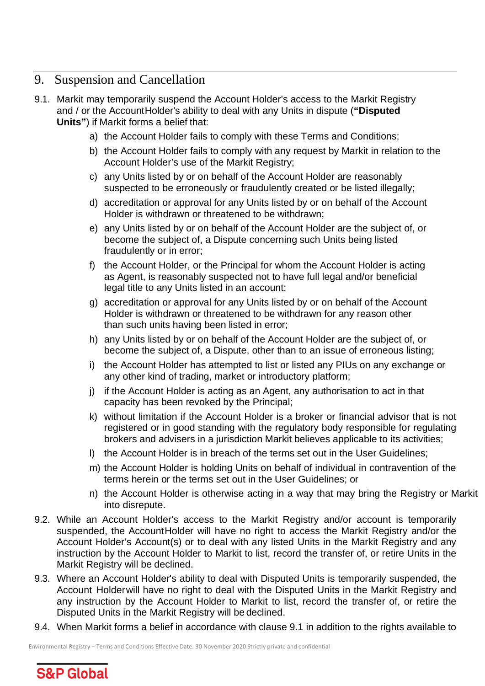# <span id="page-11-0"></span>9. Suspension and Cancellation

- 9.1. Markit may temporarily suspend the Account Holder's access to the Markit Registry and / or the AccountHolder's ability to deal with any Units in dispute (**"Disputed Units"**) if Markit forms a belief that:
	- a) the Account Holder fails to comply with these Terms and Conditions;
	- b) the Account Holder fails to comply with any request by Markit in relation to the Account Holder's use of the Markit Registry;
	- c) any Units listed by or on behalf of the Account Holder are reasonably suspected to be erroneously or fraudulently created or be listed illegally;
	- d) accreditation or approval for any Units listed by or on behalf of the Account Holder is withdrawn or threatened to be withdrawn;
	- e) any Units listed by or on behalf of the Account Holder are the subject of, or become the subject of, a Dispute concerning such Units being listed fraudulently or in error;
	- f) the Account Holder, or the Principal for whom the Account Holder is acting as Agent, is reasonably suspected not to have full legal and/or beneficial legal title to any Units listed in an account;
	- g) accreditation or approval for any Units listed by or on behalf of the Account Holder is withdrawn or threatened to be withdrawn for any reason other than such units having been listed in error;
	- h) any Units listed by or on behalf of the Account Holder are the subject of, or become the subject of, a Dispute, other than to an issue of erroneous listing;
	- i) the Account Holder has attempted to list or listed any PIUs on any exchange or any other kind of trading, market or introductory platform;
	- j) if the Account Holder is acting as an Agent, any authorisation to act in that capacity has been revoked by the Principal;
	- k) without limitation if the Account Holder is a broker or financial advisor that is not registered or in good standing with the regulatory body responsible for regulating brokers and advisers in a jurisdiction Markit believes applicable to its activities;
	- l) the Account Holder is in breach of the terms set out in the User Guidelines;
	- m) the Account Holder is holding Units on behalf of individual in contravention of the terms herein or the terms set out in the User Guidelines; or
	- n) the Account Holder is otherwise acting in a way that may bring the Registry or Markit into disrepute.
- 9.2. While an Account Holder's access to the Markit Registry and/or account is temporarily suspended, the AccountHolder will have no right to access the Markit Registry and/or the Account Holder's Account(s) or to deal with any listed Units in the Markit Registry and any instruction by the Account Holder to Markit to list, record the transfer of, or retire Units in the Markit Registry will be declined.
- 9.3. Where an Account Holder's ability to deal with Disputed Units is temporarily suspended, the Account Holderwill have no right to deal with the Disputed Units in the Markit Registry and any instruction by the Account Holder to Markit to list, record the transfer of, or retire the Disputed Units in the Markit Registry will be declined.
- 9.4. When Markit forms a belief in accordance with clause 9.1 in addition to the rights available to

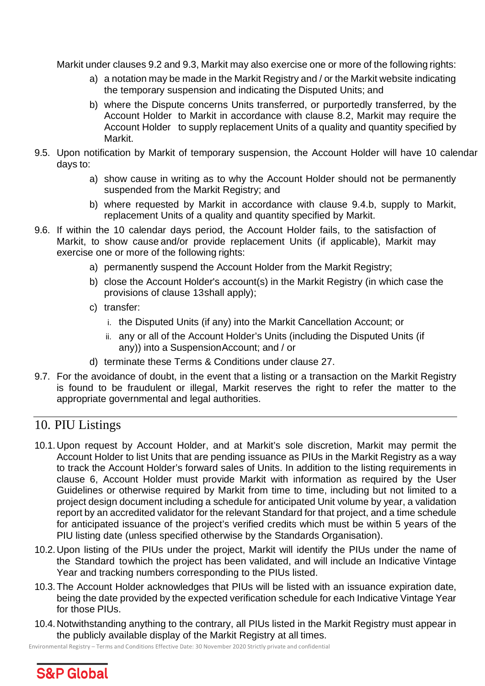Markit under clauses 9.2 and 9.3, Markit may also exercise one or more of the following rights:

- a) a notation may be made in the Markit Registry and / or the Markit website indicating the temporary suspension and indicating the Disputed Units; and
- b) where the Dispute concerns Units transferred, or purportedly transferred, by the Account Holder to Markit in accordance with clause 8.2, Markit may require the Account Holder to supply replacement Units of a quality and quantity specified by Markit.
- 9.5. Upon notification by Markit of temporary suspension, the Account Holder will have 10 calendar days to:
	- a) show cause in writing as to why the Account Holder should not be permanently suspended from the Markit Registry; and
	- b) where requested by Markit in accordance with clause 9.4.b, supply to Markit, replacement Units of a quality and quantity specified by Markit.
- 9.6. If within the 10 calendar days period, the Account Holder fails, to the satisfaction of Markit, to show cause and/or provide replacement Units (if applicable), Markit may exercise one or more of the following rights:
	- a) permanently suspend the Account Holder from the Markit Registry;
	- b) close the Account Holder's account(s) in the Markit Registry (in which case the provisions of clause 13shall apply);
	- c) transfer:
		- i. the Disputed Units (if any) into the Markit Cancellation Account; or
		- ii. any or all of the Account Holder's Units (including the Disputed Units (if any)) into a SuspensionAccount; and / or
	- d) terminate these Terms & Conditions under clause 27.
- 9.7. For the avoidance of doubt, in the event that a listing or a transaction on the Markit Registry is found to be fraudulent or illegal, Markit reserves the right to refer the matter to the appropriate governmental and legal authorities.

# <span id="page-12-0"></span>10. PIU Listings

- 10.1.Upon request by Account Holder, and at Markit's sole discretion, Markit may permit the Account Holder to list Units that are pending issuance as PIUs in the Markit Registry as a way to track the Account Holder's forward sales of Units. In addition to the listing requirements in clause 6, Account Holder must provide Markit with information as required by the User Guidelines or otherwise required by Markit from time to time, including but not limited to a project design document including a schedule for anticipated Unit volume by year, a validation report by an accredited validator for the relevant Standard for that project, and a time schedule for anticipated issuance of the project's verified credits which must be within 5 years of the PIU listing date (unless specified otherwise by the Standards Organisation).
- 10.2.Upon listing of the PIUs under the project, Markit will identify the PIUs under the name of the Standard towhich the project has been validated, and will include an Indicative Vintage Year and tracking numbers corresponding to the PIUs listed.
- 10.3.The Account Holder acknowledges that PIUs will be listed with an issuance expiration date, being the date provided by the expected verification schedule for each Indicative Vintage Year for those PIUs.
- 10.4.Notwithstanding anything to the contrary, all PIUs listed in the Markit Registry must appear in the publicly available display of the Markit Registry at all times.

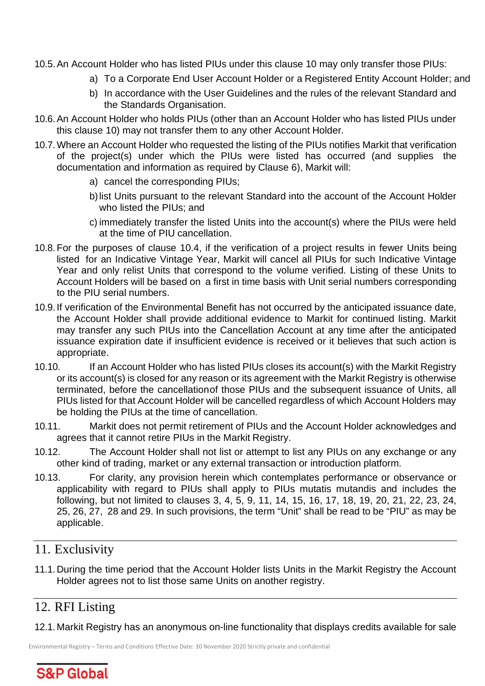- 10.5.An Account Holder who has listed PIUs under this clause 10 may only transfer those PIUs:
	- a) To a Corporate End User Account Holder or a Registered Entity Account Holder; and
	- b) In accordance with the User Guidelines and the rules of the relevant Standard and the Standards Organisation.
- 10.6.An Account Holder who holds PIUs (other than an Account Holder who has listed PIUs under this clause 10) may not transfer them to any other Account Holder.
- 10.7.Where an Account Holder who requested the listing of the PIUs notifies Markit that verification of the project(s) under which the PIUs were listed has occurred (and supplies the documentation and information as required by Clause 6), Markit will:
	- a) cancel the corresponding PIUs;
	- b)list Units pursuant to the relevant Standard into the account of the Account Holder who listed the PIUs; and
	- c) immediately transfer the listed Units into the account(s) where the PIUs were held at the time of PIU cancellation.
- 10.8.For the purposes of clause 10.4, if the verification of a project results in fewer Units being listed for an Indicative Vintage Year, Markit will cancel all PIUs for such Indicative Vintage Year and only relist Units that correspond to the volume verified. Listing of these Units to Account Holders will be based on a first in time basis with Unit serial numbers corresponding to the PIU serial numbers.
- 10.9.If verification of the Environmental Benefit has not occurred by the anticipated issuance date, the Account Holder shall provide additional evidence to Markit for continued listing. Markit may transfer any such PIUs into the Cancellation Account at any time after the anticipated issuance expiration date if insufficient evidence is received or it believes that such action is appropriate.
- 10.10. If an Account Holder who has listed PIUs closes its account(s) with the Markit Registry or its account(s) is closed for any reason or its agreement with the Markit Registry is otherwise terminated, before the cancellationof those PIUs and the subsequent issuance of Units, all PIUs listed for that Account Holder will be cancelled regardless of which Account Holders may be holding the PIUs at the time of cancellation.
- 10.11. Markit does not permit retirement of PIUs and the Account Holder acknowledges and agrees that it cannot retire PIUs in the Markit Registry.
- 10.12. The Account Holder shall not list or attempt to list any PIUs on any exchange or any other kind of trading, market or any external transaction or introduction platform.
- 10.13. For clarity, any provision herein which contemplates performance or observance or applicability with regard to PIUs shall apply to PIUs mutatis mutandis and includes the following, but not limited to clauses 3, 4, 5, 9, 11, 14, 15, 16, 17, 18, 19, 20, 21, 22, 23, 24, 25, 26, 27, 28 and 29. In such provisions, the term "Unit" shall be read to be "PIU" as may be applicable.

#### <span id="page-13-0"></span>11. Exclusivity

11.1.During the time period that the Account Holder lists Units in the Markit Registry the Account Holder agrees not to list those same Units on another registry.

# <span id="page-13-1"></span>12. RFI Listing

12.1.Markit Registry has an anonymous on-line functionality that displays credits available for sale

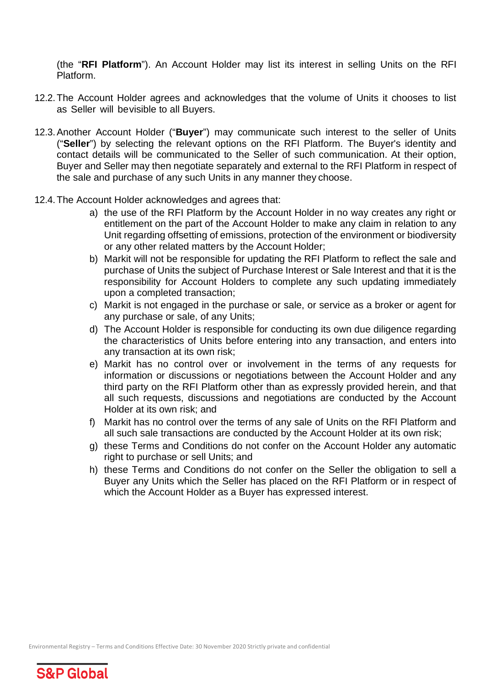(the "**RFI Platform**"). An Account Holder may list its interest in selling Units on the RFI Platform.

- 12.2.The Account Holder agrees and acknowledges that the volume of Units it chooses to list as Seller will bevisible to all Buyers.
- 12.3.Another Account Holder ("**Buyer**") may communicate such interest to the seller of Units ("**Seller**") by selecting the relevant options on the RFI Platform. The Buyer's identity and contact details will be communicated to the Seller of such communication. At their option, Buyer and Seller may then negotiate separately and external to the RFI Platform in respect of the sale and purchase of any such Units in any manner they choose.
- 12.4.The Account Holder acknowledges and agrees that:
	- a) the use of the RFI Platform by the Account Holder in no way creates any right or entitlement on the part of the Account Holder to make any claim in relation to any Unit regarding offsetting of emissions, protection of the environment or biodiversity or any other related matters by the Account Holder;
	- b) Markit will not be responsible for updating the RFI Platform to reflect the sale and purchase of Units the subject of Purchase Interest or Sale Interest and that it is the responsibility for Account Holders to complete any such updating immediately upon a completed transaction;
	- c) Markit is not engaged in the purchase or sale, or service as a broker or agent for any purchase or sale, of any Units;
	- d) The Account Holder is responsible for conducting its own due diligence regarding the characteristics of Units before entering into any transaction, and enters into any transaction at its own risk;
	- e) Markit has no control over or involvement in the terms of any requests for information or discussions or negotiations between the Account Holder and any third party on the RFI Platform other than as expressly provided herein, and that all such requests, discussions and negotiations are conducted by the Account Holder at its own risk; and
	- f) Markit has no control over the terms of any sale of Units on the RFI Platform and all such sale transactions are conducted by the Account Holder at its own risk;
	- g) these Terms and Conditions do not confer on the Account Holder any automatic right to purchase or sell Units; and
	- h) these Terms and Conditions do not confer on the Seller the obligation to sell a Buyer any Units which the Seller has placed on the RFI Platform or in respect of which the Account Holder as a Buyer has expressed interest.

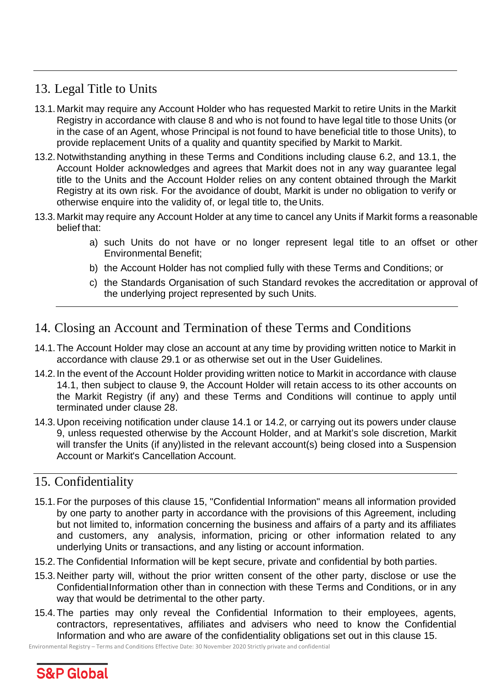# <span id="page-15-0"></span>13. Legal Title to Units

- 13.1.Markit may require any Account Holder who has requested Markit to retire Units in the Markit Registry in accordance with clause 8 and who is not found to have legal title to those Units (or in the case of an Agent, whose Principal is not found to have beneficial title to those Units), to provide replacement Units of a quality and quantity specified by Markit to Markit.
- 13.2.Notwithstanding anything in these Terms and Conditions including clause 6.2, and 13.1, the Account Holder acknowledges and agrees that Markit does not in any way guarantee legal title to the Units and the Account Holder relies on any content obtained through the Markit Registry at its own risk. For the avoidance of doubt, Markit is under no obligation to verify or otherwise enquire into the validity of, or legal title to, the Units.
- 13.3.Markit may require any Account Holder at any time to cancel any Units if Markit forms a reasonable belief that:
	- a) such Units do not have or no longer represent legal title to an offset or other Environmental Benefit;
	- b) the Account Holder has not complied fully with these Terms and Conditions; or
	- c) the Standards Organisation of such Standard revokes the accreditation or approval of the underlying project represented by such Units.

# <span id="page-15-1"></span>14. Closing an Account and Termination of these Terms and Conditions

- 14.1.The Account Holder may close an account at any time by providing written notice to Markit in accordance with clause 29.1 or as otherwise set out in the User Guidelines.
- 14.2.In the event of the Account Holder providing written notice to Markit in accordance with clause 14.1, then subject to clause 9, the Account Holder will retain access to its other accounts on the Markit Registry (if any) and these Terms and Conditions will continue to apply until terminated under clause 28.
- 14.3.Upon receiving notification under clause 14.1 or 14.2, or carrying out its powers under clause 9, unless requested otherwise by the Account Holder, and at Markit's sole discretion, Markit will transfer the Units (if any)listed in the relevant account(s) being closed into a Suspension Account or Markit's Cancellation Account.

# <span id="page-15-2"></span>15. Confidentiality

- 15.1.For the purposes of this clause 15, "Confidential Information" means all information provided by one party to another party in accordance with the provisions of this Agreement, including but not limited to, information concerning the business and affairs of a party and its affiliates and customers, any analysis, information, pricing or other information related to any underlying Units or transactions, and any listing or account information.
- 15.2.The Confidential Information will be kept secure, private and confidential by both parties.
- 15.3.Neither party will, without the prior written consent of the other party, disclose or use the ConfidentialInformation other than in connection with these Terms and Conditions, or in any way that would be detrimental to the other party.
- 15.4.The parties may only reveal the Confidential Information to their employees, agents, contractors, representatives, affiliates and advisers who need to know the Confidential Information and who are aware of the confidentiality obligations set out in this clause 15.

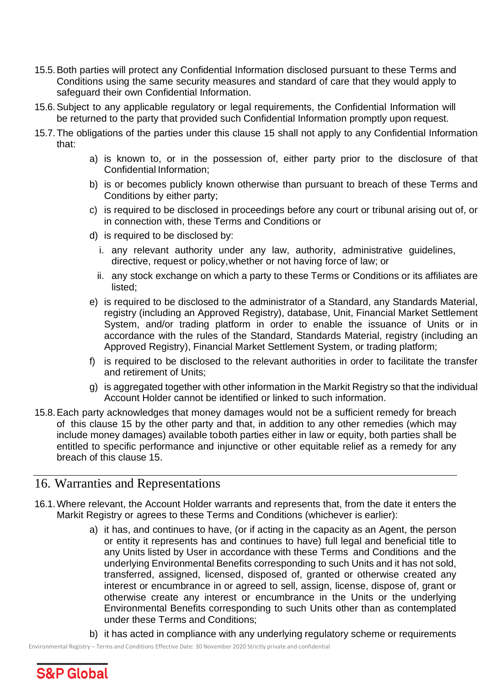- 15.5.Both parties will protect any Confidential Information disclosed pursuant to these Terms and Conditions using the same security measures and standard of care that they would apply to safeguard their own Confidential Information.
- 15.6.Subject to any applicable regulatory or legal requirements, the Confidential Information will be returned to the party that provided such Confidential Information promptly upon request.
- 15.7.The obligations of the parties under this clause 15 shall not apply to any Confidential Information that:
	- a) is known to, or in the possession of, either party prior to the disclosure of that Confidential Information;
	- b) is or becomes publicly known otherwise than pursuant to breach of these Terms and Conditions by either party;
	- c) is required to be disclosed in proceedings before any court or tribunal arising out of, or in connection with, these Terms and Conditions or
	- d) is required to be disclosed by:
		- i. any relevant authority under any law, authority, administrative guidelines, directive, request or policy,whether or not having force of law; or
		- ii. any stock exchange on which a party to these Terms or Conditions or its affiliates are listed;
	- e) is required to be disclosed to the administrator of a Standard, any Standards Material, registry (including an Approved Registry), database, Unit, Financial Market Settlement System, and/or trading platform in order to enable the issuance of Units or in accordance with the rules of the Standard, Standards Material, registry (including an Approved Registry), Financial Market Settlement System, or trading platform;
	- f) is required to be disclosed to the relevant authorities in order to facilitate the transfer and retirement of Units;
	- g) is aggregated together with other information in the Markit Registry so that the individual Account Holder cannot be identified or linked to such information.
- 15.8.Each party acknowledges that money damages would not be a sufficient remedy for breach of this clause 15 by the other party and that, in addition to any other remedies (which may include money damages) available toboth parties either in law or equity, both parties shall be entitled to specific performance and injunctive or other equitable relief as a remedy for any breach of this clause 15.

# <span id="page-16-0"></span>16. Warranties and Representations

- 16.1.Where relevant, the Account Holder warrants and represents that, from the date it enters the Markit Registry or agrees to these Terms and Conditions (whichever is earlier):
	- a) it has, and continues to have, (or if acting in the capacity as an Agent, the person or entity it represents has and continues to have) full legal and beneficial title to any Units listed by User in accordance with these Terms and Conditions and the underlying Environmental Benefits corresponding to such Units and it has not sold, transferred, assigned, licensed, disposed of, granted or otherwise created any interest or encumbrance in or agreed to sell, assign, license, dispose of, grant or otherwise create any interest or encumbrance in the Units or the underlying Environmental Benefits corresponding to such Units other than as contemplated under these Terms and Conditions;
	- b) it has acted in compliance with any underlying regulatory scheme or requirements

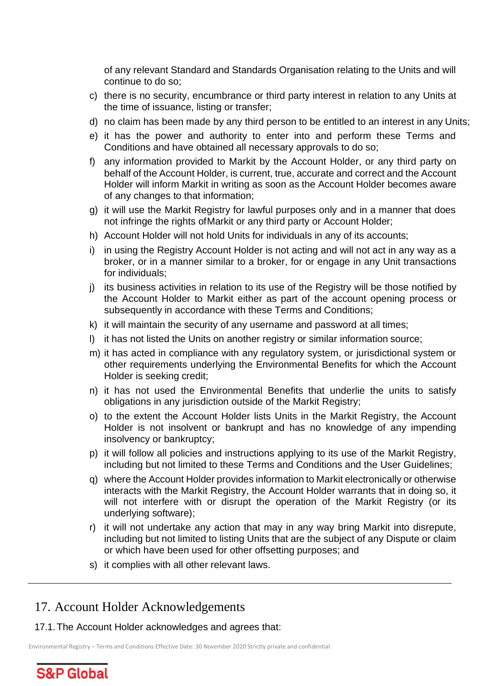of any relevant Standard and Standards Organisation relating to the Units and will continue to do so;

- c) there is no security, encumbrance or third party interest in relation to any Units at the time of issuance, listing or transfer;
- d) no claim has been made by any third person to be entitled to an interest in any Units;
- e) it has the power and authority to enter into and perform these Terms and Conditions and have obtained all necessary approvals to do so;
- f) any information provided to Markit by the Account Holder, or any third party on behalf of the Account Holder, is current, true, accurate and correct and the Account Holder will inform Markit in writing as soon as the Account Holder becomes aware of any changes to that information;
- g) it will use the Markit Registry for lawful purposes only and in a manner that does not infringe the rights ofMarkit or any third party or Account Holder;
- h) Account Holder will not hold Units for individuals in any of its accounts;
- i) in using the Registry Account Holder is not acting and will not act in any way as a broker, or in a manner similar to a broker, for or engage in any Unit transactions for individuals;
- j) its business activities in relation to its use of the Registry will be those notified by the Account Holder to Markit either as part of the account opening process or subsequently in accordance with these Terms and Conditions;
- k) it will maintain the security of any username and password at all times;
- l) it has not listed the Units on another registry or similar information source;
- m) it has acted in compliance with any regulatory system, or jurisdictional system or other requirements underlying the Environmental Benefits for which the Account Holder is seeking credit;
- n) it has not used the Environmental Benefits that underlie the units to satisfy obligations in any jurisdiction outside of the Markit Registry;
- o) to the extent the Account Holder lists Units in the Markit Registry, the Account Holder is not insolvent or bankrupt and has no knowledge of any impending insolvency or bankruptcy;
- p) it will follow all policies and instructions applying to its use of the Markit Registry, including but not limited to these Terms and Conditions and the User Guidelines;
- q) where the Account Holder provides information to Markit electronically or otherwise interacts with the Markit Registry, the Account Holder warrants that in doing so, it will not interfere with or disrupt the operation of the Markit Registry (or its underlying software);
- r) it will not undertake any action that may in any way bring Markit into disrepute, including but not limited to listing Units that are the subject of any Dispute or claim or which have been used for other offsetting purposes; and
- s) it complies with all other relevant laws.

#### <span id="page-17-0"></span>17. Account Holder Acknowledgements

17.1.The Account Holder acknowledges and agrees that:

Environmental Registry – Terms and Conditions Effective Date: 30 November 2020 Strictly private and confidential

**S&P Global**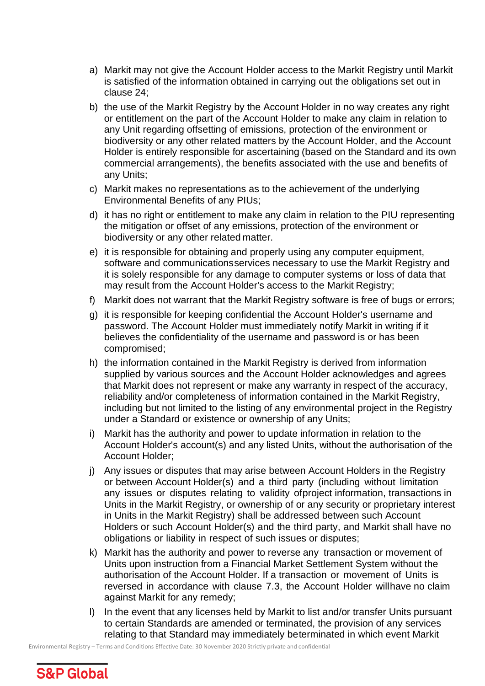- a) Markit may not give the Account Holder access to the Markit Registry until Markit is satisfied of the information obtained in carrying out the obligations set out in clause 24;
- b) the use of the Markit Registry by the Account Holder in no way creates any right or entitlement on the part of the Account Holder to make any claim in relation to any Unit regarding offsetting of emissions, protection of the environment or biodiversity or any other related matters by the Account Holder, and the Account Holder is entirely responsible for ascertaining (based on the Standard and its own commercial arrangements), the benefits associated with the use and benefits of any Units;
- c) Markit makes no representations as to the achievement of the underlying Environmental Benefits of any PIUs;
- d) it has no right or entitlement to make any claim in relation to the PIU representing the mitigation or offset of any emissions, protection of the environment or biodiversity or any other related matter.
- e) it is responsible for obtaining and properly using any computer equipment, software and communicationsservices necessary to use the Markit Registry and it is solely responsible for any damage to computer systems or loss of data that may result from the Account Holder's access to the Markit Registry;
- f) Markit does not warrant that the Markit Registry software is free of bugs or errors;
- g) it is responsible for keeping confidential the Account Holder's username and password. The Account Holder must immediately notify Markit in writing if it believes the confidentiality of the username and password is or has been compromised;
- h) the information contained in the Markit Registry is derived from information supplied by various sources and the Account Holder acknowledges and agrees that Markit does not represent or make any warranty in respect of the accuracy, reliability and/or completeness of information contained in the Markit Registry, including but not limited to the listing of any environmental project in the Registry under a Standard or existence or ownership of any Units;
- i) Markit has the authority and power to update information in relation to the Account Holder's account(s) and any listed Units, without the authorisation of the Account Holder;
- j) Any issues or disputes that may arise between Account Holders in the Registry or between Account Holder(s) and a third party (including without limitation any issues or disputes relating to validity ofproject information, transactions in Units in the Markit Registry, or ownership of or any security or proprietary interest in Units in the Markit Registry) shall be addressed between such Account Holders or such Account Holder(s) and the third party, and Markit shall have no obligations or liability in respect of such issues or disputes;
- k) Markit has the authority and power to reverse any transaction or movement of Units upon instruction from a Financial Market Settlement System without the authorisation of the Account Holder. If a transaction or movement of Units is reversed in accordance with clause 7.3, the Account Holder willhave no claim against Markit for any remedy;
- l) In the event that any licenses held by Markit to list and/or transfer Units pursuant to certain Standards are amended or terminated, the provision of any services relating to that Standard may immediately beterminated in which event Markit

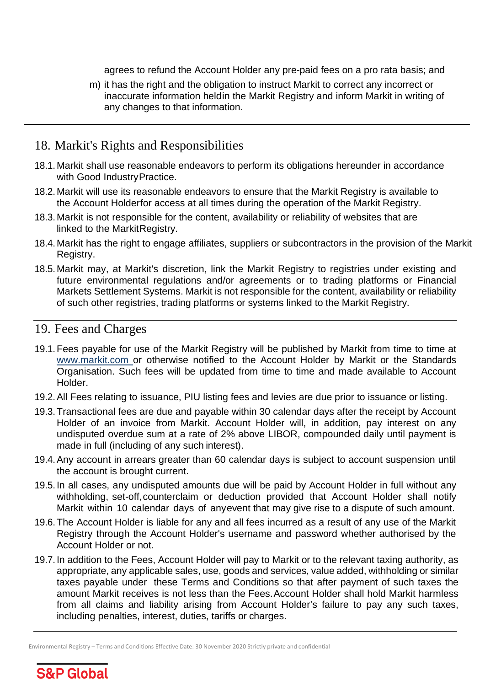agrees to refund the Account Holder any pre-paid fees on a pro rata basis; and

m) it has the right and the obligation to instruct Markit to correct any incorrect or inaccurate information heldin the Markit Registry and inform Markit in writing of any changes to that information.

#### <span id="page-19-0"></span>18. Markit's Rights and Responsibilities

- 18.1.Markit shall use reasonable endeavors to perform its obligations hereunder in accordance with Good Industry Practice.
- 18.2.Markit will use its reasonable endeavors to ensure that the Markit Registry is available to the Account Holderfor access at all times during the operation of the Markit Registry.
- 18.3.Markit is not responsible for the content, availability or reliability of websites that are linked to the MarkitRegistry.
- 18.4.Markit has the right to engage affiliates, suppliers or subcontractors in the provision of the Markit Registry.
- 18.5.Markit may, at Markit's discretion, link the Markit Registry to registries under existing and future environmental regulations and/or agreements or to trading platforms or Financial Markets Settlement Systems. Markit is not responsible for the content, availability or reliability of such other registries, trading platforms or systems linked to the Markit Registry.

# <span id="page-19-1"></span>19. Fees and Charges

- 19.1.Fees payable for use of the Markit Registry will be published by Markit from time to time at [www.markit.com o](http://www.markit.com/)r otherwise notified to the Account Holder by Markit or the Standards Organisation. Such fees will be updated from time to time and made available to Account Holder.
- 19.2.All Fees relating to issuance, PIU listing fees and levies are due prior to issuance or listing.
- 19.3.Transactional fees are due and payable within 30 calendar days after the receipt by Account Holder of an invoice from Markit. Account Holder will, in addition, pay interest on any undisputed overdue sum at a rate of 2% above LIBOR, compounded daily until payment is made in full (including of any such interest).
- 19.4.Any account in arrears greater than 60 calendar days is subject to account suspension until the account is brought current.
- 19.5.In all cases, any undisputed amounts due will be paid by Account Holder in full without any withholding, set-off,counterclaim or deduction provided that Account Holder shall notify Markit within 10 calendar days of anyevent that may give rise to a dispute of such amount.
- 19.6.The Account Holder is liable for any and all fees incurred as a result of any use of the Markit Registry through the Account Holder's username and password whether authorised by the Account Holder or not.
- 19.7.In addition to the Fees, Account Holder will pay to Markit or to the relevant taxing authority, as appropriate, any applicable sales, use, goods and services, value added, withholding or similar taxes payable under these Terms and Conditions so that after payment of such taxes the amount Markit receives is not less than the Fees.Account Holder shall hold Markit harmless from all claims and liability arising from Account Holder's failure to pay any such taxes, including penalties, interest, duties, tariffs or charges.

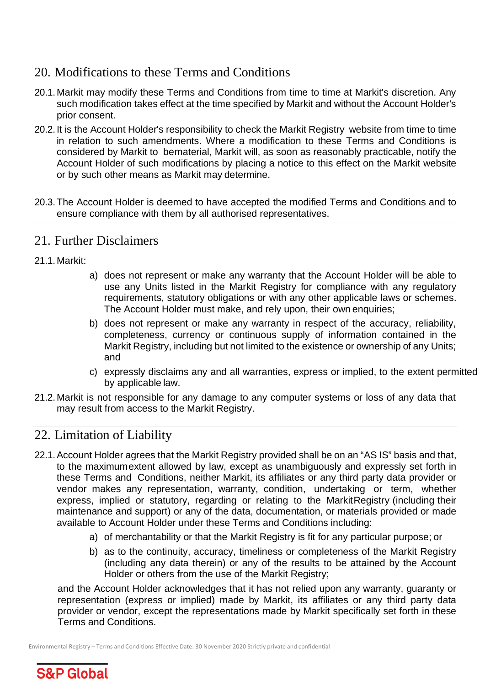# <span id="page-20-0"></span>20. Modifications to these Terms and Conditions

- 20.1.Markit may modify these Terms and Conditions from time to time at Markit's discretion. Any such modification takes effect at the time specified by Markit and without the Account Holder's prior consent.
- 20.2.It is the Account Holder's responsibility to check the Markit Registry website from time to time in relation to such amendments. Where a modification to these Terms and Conditions is considered by Markit to bematerial, Markit will, as soon as reasonably practicable, notify the Account Holder of such modifications by placing a notice to this effect on the Markit website or by such other means as Markit may determine.
- 20.3.The Account Holder is deemed to have accepted the modified Terms and Conditions and to ensure compliance with them by all authorised representatives.

#### <span id="page-20-1"></span>21. Further Disclaimers

- 21.1.Markit:
- a) does not represent or make any warranty that the Account Holder will be able to use any Units listed in the Markit Registry for compliance with any regulatory requirements, statutory obligations or with any other applicable laws or schemes. The Account Holder must make, and rely upon, their own enquiries;
- b) does not represent or make any warranty in respect of the accuracy, reliability, completeness, currency or continuous supply of information contained in the Markit Registry, including but not limited to the existence or ownership of any Units; and
- c) expressly disclaims any and all warranties, express or implied, to the extent permitted by applicable law.
- 21.2.Markit is not responsible for any damage to any computer systems or loss of any data that may result from access to the Markit Registry.

# <span id="page-20-2"></span>22. Limitation of Liability

- 22.1.Account Holder agrees that the Markit Registry provided shall be on an "AS IS" basis and that, to the maximumextent allowed by law, except as unambiguously and expressly set forth in these Terms and Conditions, neither Markit, its affiliates or any third party data provider or vendor makes any representation, warranty, condition, undertaking or term, whether express, implied or statutory, regarding or relating to the MarkitRegistry (including their maintenance and support) or any of the data, documentation, or materials provided or made available to Account Holder under these Terms and Conditions including:
	- a) of merchantability or that the Markit Registry is fit for any particular purpose; or
	- b) as to the continuity, accuracy, timeliness or completeness of the Markit Registry (including any data therein) or any of the results to be attained by the Account Holder or others from the use of the Markit Registry;

and the Account Holder acknowledges that it has not relied upon any warranty, guaranty or representation (express or implied) made by Markit, its affiliates or any third party data provider or vendor, except the representations made by Markit specifically set forth in these Terms and Conditions.

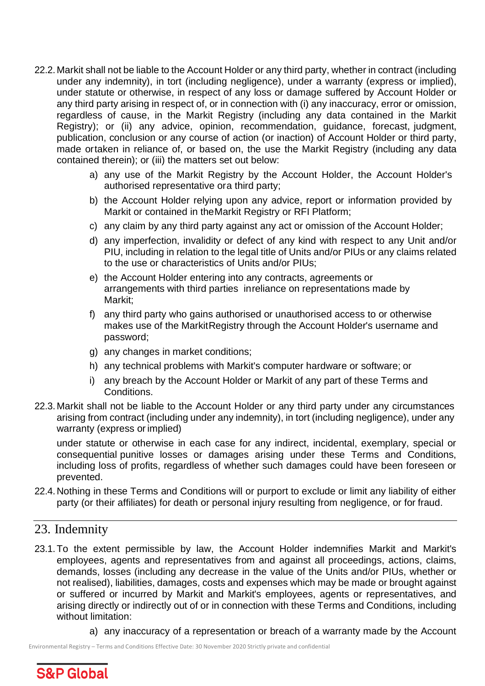- 22.2.Markit shall not be liable to the Account Holder or any third party, whether in contract (including under any indemnity), in tort (including negligence), under a warranty (express or implied), under statute or otherwise, in respect of any loss or damage suffered by Account Holder or any third party arising in respect of, or in connection with (i) any inaccuracy, error or omission, regardless of cause, in the Markit Registry (including any data contained in the Markit Registry); or (ii) any advice, opinion, recommendation, guidance, forecast, judgment, publication, conclusion or any course of action (or inaction) of Account Holder or third party, made ortaken in reliance of, or based on, the use the Markit Registry (including any data contained therein); or (iii) the matters set out below:
	- a) any use of the Markit Registry by the Account Holder, the Account Holder's authorised representative ora third party;
	- b) the Account Holder relying upon any advice, report or information provided by Markit or contained in theMarkit Registry or RFI Platform;
	- c) any claim by any third party against any act or omission of the Account Holder;
	- d) any imperfection, invalidity or defect of any kind with respect to any Unit and/or PIU, including in relation to the legal title of Units and/or PIUs or any claims related to the use or characteristics of Units and/or PIUs;
	- e) the Account Holder entering into any contracts, agreements or arrangements with third parties inreliance on representations made by Markit;
	- f) any third party who gains authorised or unauthorised access to or otherwise makes use of the MarkitRegistry through the Account Holder's username and password;
	- g) any changes in market conditions;
	- h) any technical problems with Markit's computer hardware or software; or
	- i) any breach by the Account Holder or Markit of any part of these Terms and Conditions.
- 22.3.Markit shall not be liable to the Account Holder or any third party under any circumstances arising from contract (including under any indemnity), in tort (including negligence), under any warranty (express or implied)

under statute or otherwise in each case for any indirect, incidental, exemplary, special or consequential punitive losses or damages arising under these Terms and Conditions, including loss of profits, regardless of whether such damages could have been foreseen or prevented.

22.4.Nothing in these Terms and Conditions will or purport to exclude or limit any liability of either party (or their affiliates) for death or personal injury resulting from negligence, or for fraud.

#### <span id="page-21-0"></span>23. Indemnity

- 23.1.To the extent permissible by law, the Account Holder indemnifies Markit and Markit's employees, agents and representatives from and against all proceedings, actions, claims, demands, losses (including any decrease in the value of the Units and/or PIUs, whether or not realised), liabilities, damages, costs and expenses which may be made or brought against or suffered or incurred by Markit and Markit's employees, agents or representatives, and arising directly or indirectly out of or in connection with these Terms and Conditions, including without limitation:
	- a) any inaccuracy of a representation or breach of a warranty made by the Account

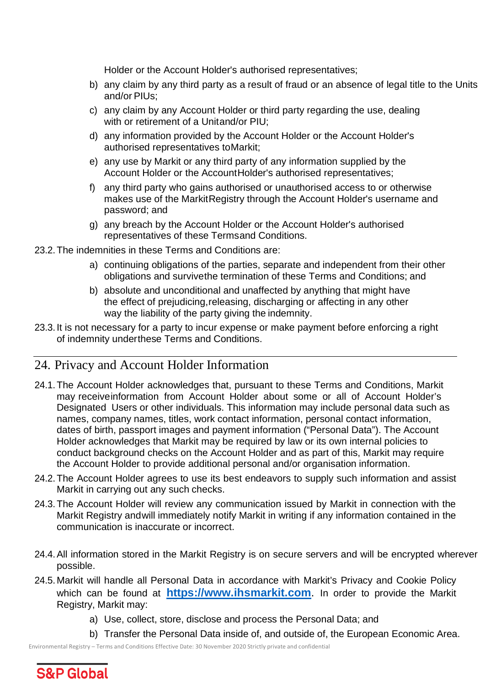Holder or the Account Holder's authorised representatives;

- b) any claim by any third party as a result of fraud or an absence of legal title to the Units and/or PIUs;
- c) any claim by any Account Holder or third party regarding the use, dealing with or retirement of a Unitand/or PIU;
- d) any information provided by the Account Holder or the Account Holder's authorised representatives toMarkit;
- e) any use by Markit or any third party of any information supplied by the Account Holder or the AccountHolder's authorised representatives;
- f) any third party who gains authorised or unauthorised access to or otherwise makes use of the MarkitRegistry through the Account Holder's username and password; and
- g) any breach by the Account Holder or the Account Holder's authorised representatives of these Termsand Conditions.
- 23.2.The indemnities in these Terms and Conditions are:
	- a) continuing obligations of the parties, separate and independent from their other obligations and survivethe termination of these Terms and Conditions; and
	- b) absolute and unconditional and unaffected by anything that might have the effect of prejudicing,releasing, discharging or affecting in any other way the liability of the party giving the indemnity.
- 23.3.It is not necessary for a party to incur expense or make payment before enforcing a right of indemnity underthese Terms and Conditions.

# <span id="page-22-0"></span>24. Privacy and Account Holder Information

- 24.1.The Account Holder acknowledges that, pursuant to these Terms and Conditions, Markit may receiveinformation from Account Holder about some or all of Account Holder's Designated Users or other individuals. This information may include personal data such as names, company names, titles, work contact information, personal contact information, dates of birth, passport images and payment information ("Personal Data"). The Account Holder acknowledges that Markit may be required by law or its own internal policies to conduct background checks on the Account Holder and as part of this, Markit may require the Account Holder to provide additional personal and/or organisation information.
- 24.2.The Account Holder agrees to use its best endeavors to supply such information and assist Markit in carrying out any such checks.
- 24.3.The Account Holder will review any communication issued by Markit in connection with the Markit Registry andwill immediately notify Markit in writing if any information contained in the communication is inaccurate or incorrect.
- 24.4.All information stored in the Markit Registry is on secure servers and will be encrypted wherever possible.
- 24.5.Markit will handle all Personal Data in accordance with Markit's Privacy and Cookie Policy which can be found at **[https://www.ihsmarkit.com](https://www.ihsmarkit.com./)**. In order to provide the Markit Registry, Markit may:
	- a) Use, collect, store, disclose and process the Personal Data; and
	- b) Transfer the Personal Data inside of, and outside of, the European Economic Area.

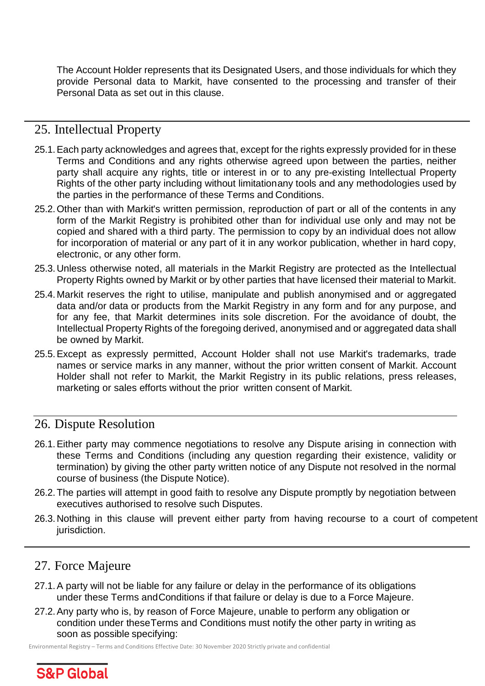The Account Holder represents that its Designated Users, and those individuals for which they provide Personal data to Markit, have consented to the processing and transfer of their Personal Data as set out in this clause.

# <span id="page-23-0"></span>25. Intellectual Property

- 25.1.Each party acknowledges and agrees that, except for the rights expressly provided for in these Terms and Conditions and any rights otherwise agreed upon between the parties, neither party shall acquire any rights, title or interest in or to any pre-existing Intellectual Property Rights of the other party including without limitationany tools and any methodologies used by the parties in the performance of these Terms and Conditions.
- 25.2.Other than with Markit's written permission, reproduction of part or all of the contents in any form of the Markit Registry is prohibited other than for individual use only and may not be copied and shared with a third party. The permission to copy by an individual does not allow for incorporation of material or any part of it in any workor publication, whether in hard copy, electronic, or any other form.
- 25.3.Unless otherwise noted, all materials in the Markit Registry are protected as the Intellectual Property Rights owned by Markit or by other parties that have licensed their material to Markit.
- 25.4.Markit reserves the right to utilise, manipulate and publish anonymised and or aggregated data and/or data or products from the Markit Registry in any form and for any purpose, and for any fee, that Markit determines inits sole discretion. For the avoidance of doubt, the Intellectual Property Rights of the foregoing derived, anonymised and or aggregated data shall be owned by Markit.
- 25.5.Except as expressly permitted, Account Holder shall not use Markit's trademarks, trade names or service marks in any manner, without the prior written consent of Markit. Account Holder shall not refer to Markit, the Markit Registry in its public relations, press releases, marketing or sales efforts without the prior written consent of Markit.

#### <span id="page-23-1"></span>26. Dispute Resolution

- 26.1.Either party may commence negotiations to resolve any Dispute arising in connection with these Terms and Conditions (including any question regarding their existence, validity or termination) by giving the other party written notice of any Dispute not resolved in the normal course of business (the Dispute Notice).
- 26.2.The parties will attempt in good faith to resolve any Dispute promptly by negotiation between executives authorised to resolve such Disputes.
- 26.3.Nothing in this clause will prevent either party from having recourse to a court of competent jurisdiction.

# <span id="page-23-2"></span>27. Force Majeure

- 27.1.A party will not be liable for any failure or delay in the performance of its obligations under these Terms andConditions if that failure or delay is due to a Force Majeure.
- 27.2.Any party who is, by reason of Force Majeure, unable to perform any obligation or condition under theseTerms and Conditions must notify the other party in writing as soon as possible specifying:

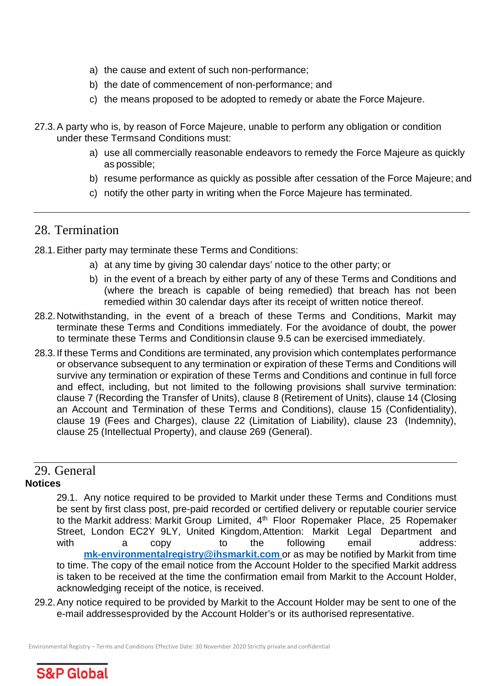- a) the cause and extent of such non-performance;
- b) the date of commencement of non-performance; and
- c) the means proposed to be adopted to remedy or abate the Force Majeure.
- 27.3.A party who is, by reason of Force Majeure, unable to perform any obligation or condition under these Termsand Conditions must:
	- a) use all commercially reasonable endeavors to remedy the Force Majeure as quickly as possible;
	- b) resume performance as quickly as possible after cessation of the Force Majeure; and
	- c) notify the other party in writing when the Force Majeure has terminated.

#### <span id="page-24-0"></span>28. Termination

- 28.1.Either party may terminate these Terms and Conditions:
	- a) at any time by giving 30 calendar days' notice to the other party; or
	- b) in the event of a breach by either party of any of these Terms and Conditions and (where the breach is capable of being remedied) that breach has not been remedied within 30 calendar days after its receipt of written notice thereof.
- 28.2.Notwithstanding, in the event of a breach of these Terms and Conditions, Markit may terminate these Terms and Conditions immediately. For the avoidance of doubt, the power to terminate these Terms and Conditionsin clause 9.5 can be exercised immediately.
- 28.3.If these Terms and Conditions are terminated, any provision which contemplates performance or observance subsequent to any termination or expiration of these Terms and Conditions will survive any termination or expiration of these Terms and Conditions and continue in full force and effect, including, but not limited to the following provisions shall survive termination: clause 7 (Recording the Transfer of Units), clause 8 (Retirement of Units), clause 14 (Closing an Account and Termination of these Terms and Conditions), clause 15 (Confidentiality), clause 19 (Fees and Charges), clause 22 (Limitation of Liability), clause 23 (Indemnity), clause 25 (Intellectual Property), and clause 269 (General).

#### 29. General

#### <span id="page-24-1"></span>**Notices**

29.1. Any notice required to be provided to Markit under these Terms and Conditions must be sent by first class post, pre-paid recorded or certified delivery or reputable courier service to the Markit address: Markit Group Limited, 4th Floor Ropemaker Place, 25 Ropemaker Street, London EC2Y 9LY, United Kingdom,Attention: Markit Legal Department and with a copy to the following email address: **mk[-environmentalregistry@ihsmarkit.com](mailto:environmentalregistry@ihsmarkit.com)** or as may be notified by Markit from time to time. The copy of the email notice from the Account Holder to the specified Markit address is taken to be received at the time the confirmation email from Markit to the Account Holder, acknowledging receipt of the notice, is received.

29.2.Any notice required to be provided by Markit to the Account Holder may be sent to one of the e-mail addressesprovided by the Account Holder's or its authorised representative.

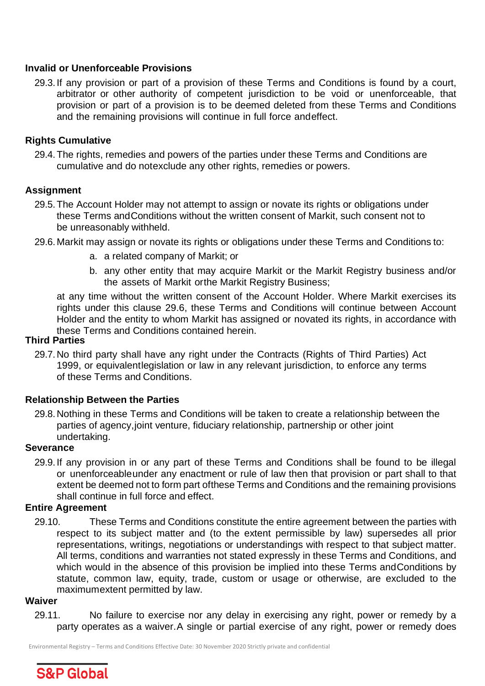#### **Invalid or Unenforceable Provisions**

29.3.If any provision or part of a provision of these Terms and Conditions is found by a court, arbitrator or other authority of competent jurisdiction to be void or unenforceable, that provision or part of a provision is to be deemed deleted from these Terms and Conditions and the remaining provisions will continue in full force andeffect.

#### **Rights Cumulative**

29.4.The rights, remedies and powers of the parties under these Terms and Conditions are cumulative and do notexclude any other rights, remedies or powers.

#### **Assignment**

- 29.5.The Account Holder may not attempt to assign or novate its rights or obligations under these Terms andConditions without the written consent of Markit, such consent not to be unreasonably withheld.
- 29.6.Markit may assign or novate its rights or obligations under these Terms and Conditions to:
	- a. a related company of Markit; or
	- b. any other entity that may acquire Markit or the Markit Registry business and/or the assets of Markit orthe Markit Registry Business;

at any time without the written consent of the Account Holder. Where Markit exercises its rights under this clause 29.6, these Terms and Conditions will continue between Account Holder and the entity to whom Markit has assigned or novated its rights, in accordance with these Terms and Conditions contained herein.

#### **Third Parties**

29.7.No third party shall have any right under the Contracts (Rights of Third Parties) Act 1999, or equivalentlegislation or law in any relevant jurisdiction, to enforce any terms of these Terms and Conditions.

#### **Relationship Between the Parties**

29.8.Nothing in these Terms and Conditions will be taken to create a relationship between the parties of agency,joint venture, fiduciary relationship, partnership or other joint undertaking.

#### **Severance**

29.9.If any provision in or any part of these Terms and Conditions shall be found to be illegal or unenforceableunder any enactment or rule of law then that provision or part shall to that extent be deemed not to form part ofthese Terms and Conditions and the remaining provisions shall continue in full force and effect.

#### **Entire Agreement**

29.10. These Terms and Conditions constitute the entire agreement between the parties with respect to its subject matter and (to the extent permissible by law) supersedes all prior representations, writings, negotiations or understandings with respect to that subject matter. All terms, conditions and warranties not stated expressly in these Terms and Conditions, and which would in the absence of this provision be implied into these Terms andConditions by statute, common law, equity, trade, custom or usage or otherwise, are excluded to the maximumextent permitted by law.

#### **Waiver**

29.11. No failure to exercise nor any delay in exercising any right, power or remedy by a party operates as a waiver.A single or partial exercise of any right, power or remedy does

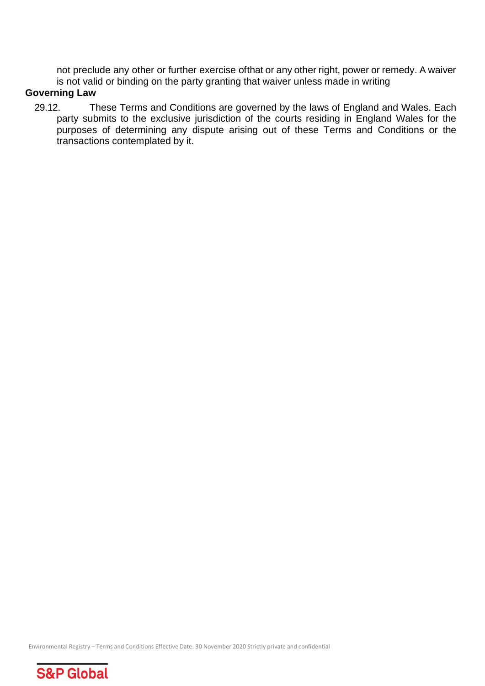not preclude any other or further exercise ofthat or any other right, power or remedy. A waiver is not valid or binding on the party granting that waiver unless made in writing

#### **Governing Law**

29.12. These Terms and Conditions are governed by the laws of England and Wales. Each party submits to the exclusive jurisdiction of the courts residing in England Wales for the purposes of determining any dispute arising out of these Terms and Conditions or the transactions contemplated by it.

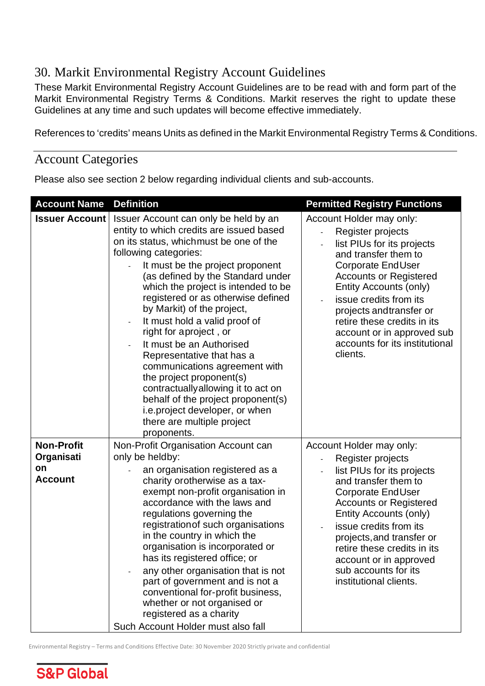# <span id="page-27-0"></span>30. Markit Environmental Registry Account Guidelines

These Markit Environmental Registry Account Guidelines are to be read with and form part of the Markit Environmental Registry Terms & Conditions. Markit reserves the right to update these Guidelines at any time and such updates will become effective immediately.

References to 'credits' means Units as defined in the Markit Environmental Registry Terms & Conditions.

#### Account Categories

Please also see section 2 below regarding individual clients and sub-accounts.

| <b>Account Name</b>                                     | <b>Definition</b>                                                                                                                                                                                                                                                                                                                                                                                                                                                                                                                                                                                                                                                                            | <b>Permitted Registry Functions</b>                                                                                                                                                                                                                                                                                                                                           |
|---------------------------------------------------------|----------------------------------------------------------------------------------------------------------------------------------------------------------------------------------------------------------------------------------------------------------------------------------------------------------------------------------------------------------------------------------------------------------------------------------------------------------------------------------------------------------------------------------------------------------------------------------------------------------------------------------------------------------------------------------------------|-------------------------------------------------------------------------------------------------------------------------------------------------------------------------------------------------------------------------------------------------------------------------------------------------------------------------------------------------------------------------------|
| <b>Issuer Account</b>                                   | Issuer Account can only be held by an<br>entity to which credits are issued based<br>on its status, whichmust be one of the<br>following categories:<br>It must be the project proponent<br>(as defined by the Standard under<br>which the project is intended to be<br>registered or as otherwise defined<br>by Markit) of the project,<br>It must hold a valid proof of<br>right for aproject, or<br>It must be an Authorised<br>Representative that has a<br>communications agreement with<br>the project proponent(s)<br>contractually allowing it to act on<br>behalf of the project proponent(s)<br><i>i.e.project developer, or when</i><br>there are multiple project<br>proponents. | Account Holder may only:<br>Register projects<br>list PIUs for its projects<br>and transfer them to<br><b>Corporate EndUser</b><br><b>Accounts or Registered</b><br>Entity Accounts (only)<br>issue credits from its<br>$\blacksquare$<br>projects and transfer or<br>retire these credits in its<br>account or in approved sub<br>accounts for its institutional<br>clients. |
| <b>Non-Profit</b><br>Organisati<br>on<br><b>Account</b> | Non-Profit Organisation Account can<br>only be heldby:<br>an organisation registered as a<br>charity orotherwise as a tax-<br>exempt non-profit organisation in<br>accordance with the laws and<br>regulations governing the<br>registration of such organisations<br>in the country in which the<br>organisation is incorporated or<br>has its registered office; or<br>any other organisation that is not<br>part of government and is not a<br>conventional for-profit business,<br>whether or not organised or<br>registered as a charity<br>Such Account Holder must also fall                                                                                                          | Account Holder may only:<br>Register projects<br>list PIUs for its projects<br>$\Box$<br>and transfer them to<br><b>Corporate EndUser</b><br><b>Accounts or Registered</b><br>Entity Accounts (only)<br>issue credits from its<br>projects, and transfer or<br>retire these credits in its<br>account or in approved<br>sub accounts for its<br>institutional clients.        |

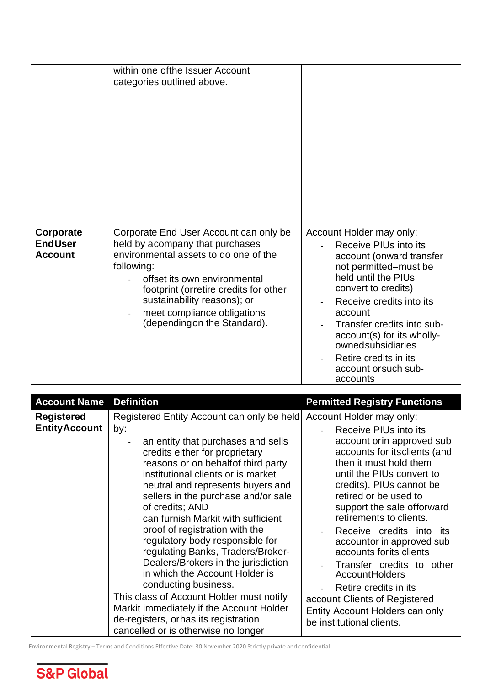|                                               | within one ofthe Issuer Account<br>categories outlined above.                                                                                                                                                                                                                                          |                                                                                                                                                                                                                                                                                                                                           |
|-----------------------------------------------|--------------------------------------------------------------------------------------------------------------------------------------------------------------------------------------------------------------------------------------------------------------------------------------------------------|-------------------------------------------------------------------------------------------------------------------------------------------------------------------------------------------------------------------------------------------------------------------------------------------------------------------------------------------|
| Corporate<br><b>EndUser</b><br><b>Account</b> | Corporate End User Account can only be<br>held by acompany that purchases<br>environmental assets to do one of the<br>following:<br>offset its own environmental<br>footprint (orretire credits for other<br>sustainability reasons); or<br>meet compliance obligations<br>(dependingon the Standard). | Account Holder may only:<br>Receive PIUs into its<br>account (onward transfer<br>not permitted-must be<br>held until the PIUs<br>convert to credits)<br>Receive credits into its<br>account<br>Transfer credits into sub-<br>account(s) for its wholly-<br>ownedsubsidiaries<br>Retire credits in its<br>account or such sub-<br>accounts |

| <b>Account Name</b>                        | <b>Definition</b>                                                                                                                                                                                                                                                                                                                                                                                                                                                                                                                                                                                                                                                                                                             | <b>Permitted Registry Functions</b>                                                                                                                                                                                                                                                                                                                                                                                                                                                                                                                      |
|--------------------------------------------|-------------------------------------------------------------------------------------------------------------------------------------------------------------------------------------------------------------------------------------------------------------------------------------------------------------------------------------------------------------------------------------------------------------------------------------------------------------------------------------------------------------------------------------------------------------------------------------------------------------------------------------------------------------------------------------------------------------------------------|----------------------------------------------------------------------------------------------------------------------------------------------------------------------------------------------------------------------------------------------------------------------------------------------------------------------------------------------------------------------------------------------------------------------------------------------------------------------------------------------------------------------------------------------------------|
| <b>Registered</b><br><b>Entity Account</b> | Registered Entity Account can only be held<br>by:<br>an entity that purchases and sells<br>credits either for proprietary<br>reasons or on behalf of third party<br>institutional clients or is market<br>neutral and represents buyers and<br>sellers in the purchase and/or sale<br>of credits; AND<br>can furnish Markit with sufficient<br>proof of registration with the<br>regulatory body responsible for<br>regulating Banks, Traders/Broker-<br>Dealers/Brokers in the jurisdiction<br>in which the Account Holder is<br>conducting business.<br>This class of Account Holder must notify<br>Markit immediately if the Account Holder<br>de-registers, orhas its registration<br>cancelled or is otherwise no longer | Account Holder may only:<br>Receive PIUs into its<br>account orin approved sub<br>accounts for itsclients (and<br>then it must hold them<br>until the PIUs convert to<br>credits). PIUs cannot be<br>retired or be used to<br>support the sale offorward<br>retirements to clients.<br>Receive credits into its<br>accountor in approved sub<br>accounts for its clients<br>Transfer credits to other<br><b>AccountHolders</b><br>Retire credits in its<br>account Clients of Registered<br>Entity Account Holders can only<br>be institutional clients. |

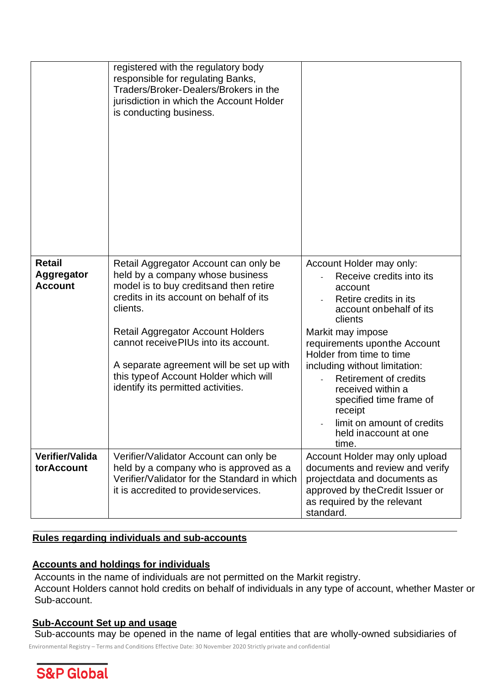|                                               | registered with the regulatory body<br>responsible for regulating Banks,<br>Traders/Broker-Dealers/Brokers in the<br>jurisdiction in which the Account Holder<br>is conducting business.                                                                                                                                                                                                     |                                                                                                                                                                                                                                                                                                                                                                                                              |
|-----------------------------------------------|----------------------------------------------------------------------------------------------------------------------------------------------------------------------------------------------------------------------------------------------------------------------------------------------------------------------------------------------------------------------------------------------|--------------------------------------------------------------------------------------------------------------------------------------------------------------------------------------------------------------------------------------------------------------------------------------------------------------------------------------------------------------------------------------------------------------|
| <b>Retail</b><br>Aggregator<br><b>Account</b> | Retail Aggregator Account can only be<br>held by a company whose business<br>model is to buy credits and then retire<br>credits in its account on behalf of its<br>clients.<br><b>Retail Aggregator Account Holders</b><br>cannot receive PIUs into its account.<br>A separate agreement will be set up with<br>this type of Account Holder which will<br>identify its permitted activities. | Account Holder may only:<br>Receive credits into its<br>account<br>Retire credits in its<br>account on behalf of its<br>clients<br>Markit may impose<br>requirements uponthe Account<br>Holder from time to time<br>including without limitation:<br><b>Retirement of credits</b><br>received within a<br>specified time frame of<br>receipt<br>limit on amount of credits<br>held inaccount at one<br>time. |
| Verifier/Valida<br><b>torAccount</b>          | Verifier/Validator Account can only be<br>held by a company who is approved as a<br>Verifier/Validator for the Standard in which<br>it is accredited to provideservices.                                                                                                                                                                                                                     | Account Holder may only upload<br>documents and review and verify<br>projectdata and documents as<br>approved by the Credit Issuer or<br>as required by the relevant<br>standard.                                                                                                                                                                                                                            |

#### **Rules regarding individuals and sub-accounts**

#### **Accounts and holdings for individuals**

Accounts in the name of individuals are not permitted on the Markit registry. Account Holders cannot hold credits on behalf of individuals in any type of account, whether Master or Sub-account.

#### **Sub-Account Set up and usage**

Sub-accounts may be opened in the name of legal entities that are wholly-owned subsidiaries of

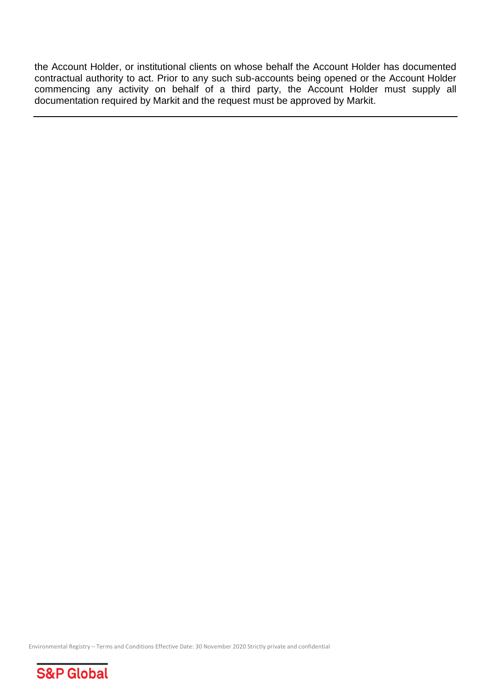<span id="page-30-0"></span>the Account Holder, or institutional clients on whose behalf the Account Holder has documented contractual authority to act. Prior to any such sub-accounts being opened or the Account Holder commencing any activity on behalf of a third party, the Account Holder must supply all documentation required by Markit and the request must be approved by Markit.

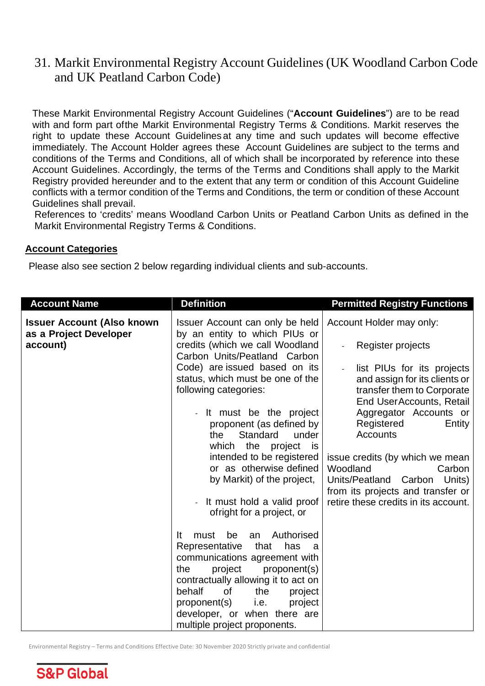# 31. Markit Environmental Registry Account Guidelines (UK Woodland Carbon Code and UK Peatland Carbon Code)

These Markit Environmental Registry Account Guidelines ("**Account Guidelines**") are to be read with and form part ofthe Markit Environmental Registry Terms & Conditions. Markit reserves the right to update these Account Guidelines at any time and such updates will become effective immediately. The Account Holder agrees these Account Guidelines are subject to the terms and conditions of the Terms and Conditions, all of which shall be incorporated by reference into these Account Guidelines. Accordingly, the terms of the Terms and Conditions shall apply to the Markit Registry provided hereunder and to the extent that any term or condition of this Account Guideline conflicts with a termor condition of the Terms and Conditions, the term or condition of these Account Guidelines shall prevail.

References to 'credits' means Woodland Carbon Units or Peatland Carbon Units as defined in the Markit Environmental Registry Terms & Conditions.

#### **Account Categories**

Please also see section 2 below regarding individual clients and sub-accounts.

| <b>Account Name</b>                                                     | <b>Definition</b>                                                                                                                   | <b>Permitted Registry Functions</b>                                                                                        |
|-------------------------------------------------------------------------|-------------------------------------------------------------------------------------------------------------------------------------|----------------------------------------------------------------------------------------------------------------------------|
| <b>Issuer Account (Also known</b><br>as a Project Developer<br>account) | Issuer Account can only be held<br>by an entity to which PIUs or<br>credits (which we call Woodland<br>Carbon Units/Peatland Carbon | Account Holder may only:<br>Register projects                                                                              |
|                                                                         | Code) are issued based on its<br>status, which must be one of the<br>following categories:                                          | list PIUs for its projects<br>and assign for its clients or<br>transfer them to Corporate<br>End UserAccounts, Retail      |
|                                                                         | - It must be the project<br>proponent (as defined by<br>the<br>Standard<br>under<br>which the project<br>is                         | Aggregator Accounts or<br>Registered<br>Entity<br><b>Accounts</b>                                                          |
|                                                                         | intended to be registered<br>or as otherwise defined<br>by Markit) of the project,                                                  | issue credits (by which we mean<br>Woodland<br>Carbon<br>Units/Peatland Carbon Units)<br>from its projects and transfer or |
|                                                                         | It must hold a valid proof<br>ofright for a project, or<br>Authorised<br>be                                                         | retire these credits in its account.                                                                                       |
|                                                                         | <u>It</u><br>must<br>an<br>Representative<br>that<br>has<br>- a<br>communications agreement with<br>the<br>project<br>proponent(s)  |                                                                                                                            |
|                                                                         | contractually allowing it to act on<br>behalf<br>0f<br>the<br>project<br>proponent(s)<br>i.e.<br>project                            |                                                                                                                            |
|                                                                         | developer, or when there are<br>multiple project proponents.                                                                        |                                                                                                                            |

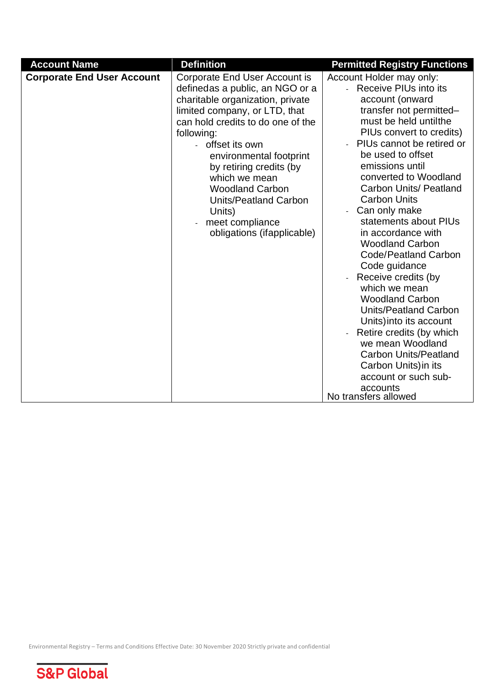| <b>Account Name</b>               | <b>Definition</b>                                                                                                                                                                                                                                                                                                                                                                                      | <b>Permitted Registry Functions</b>                                                                                                                                                                                                                                                                                                                                                                                                                                                                                                                                                                                                                                                                                                                     |
|-----------------------------------|--------------------------------------------------------------------------------------------------------------------------------------------------------------------------------------------------------------------------------------------------------------------------------------------------------------------------------------------------------------------------------------------------------|---------------------------------------------------------------------------------------------------------------------------------------------------------------------------------------------------------------------------------------------------------------------------------------------------------------------------------------------------------------------------------------------------------------------------------------------------------------------------------------------------------------------------------------------------------------------------------------------------------------------------------------------------------------------------------------------------------------------------------------------------------|
| <b>Corporate End User Account</b> | Corporate End User Account is<br>definedas a public, an NGO or a<br>charitable organization, private<br>limited company, or LTD, that<br>can hold credits to do one of the<br>following:<br>offset its own<br>environmental footprint<br>by retiring credits (by<br>which we mean<br><b>Woodland Carbon</b><br><b>Units/Peatland Carbon</b><br>Units)<br>meet compliance<br>obligations (ifapplicable) | Account Holder may only:<br>- Receive PIUs into its<br>account (onward<br>transfer not permitted-<br>must be held untilthe<br>PIUs convert to credits)<br>PIUs cannot be retired or<br>be used to offset<br>emissions until<br>converted to Woodland<br><b>Carbon Units/ Peatland</b><br><b>Carbon Units</b><br>Can only make<br>statements about PIUs<br>in accordance with<br><b>Woodland Carbon</b><br><b>Code/Peatland Carbon</b><br>Code guidance<br>Receive credits (by<br>which we mean<br><b>Woodland Carbon</b><br><b>Units/Peatland Carbon</b><br>Units) into its account<br>Retire credits (by which<br>we mean Woodland<br><b>Carbon Units/Peatland</b><br>Carbon Units) in its<br>account or such sub-<br>accounts<br>No transfers allowed |

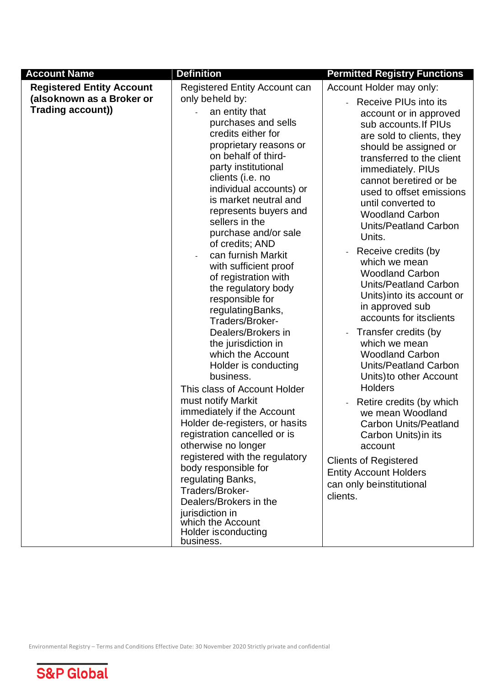| <b>Account Name</b>                                                                | <b>Definition</b>                                                                                                                                                                                                                                                                                                                                                                                                                                                                                                                                                                                                                                                                                                                                                                                                                                                                                                                                                                                                  | <b>Permitted Registry Functions</b>                                                                                                                                                                                                                                                                                                                                                                                                                                                                                                                                                                                                                                                                                                                                                                                                                                                                      |
|------------------------------------------------------------------------------------|--------------------------------------------------------------------------------------------------------------------------------------------------------------------------------------------------------------------------------------------------------------------------------------------------------------------------------------------------------------------------------------------------------------------------------------------------------------------------------------------------------------------------------------------------------------------------------------------------------------------------------------------------------------------------------------------------------------------------------------------------------------------------------------------------------------------------------------------------------------------------------------------------------------------------------------------------------------------------------------------------------------------|----------------------------------------------------------------------------------------------------------------------------------------------------------------------------------------------------------------------------------------------------------------------------------------------------------------------------------------------------------------------------------------------------------------------------------------------------------------------------------------------------------------------------------------------------------------------------------------------------------------------------------------------------------------------------------------------------------------------------------------------------------------------------------------------------------------------------------------------------------------------------------------------------------|
| <b>Registered Entity Account</b><br>(alsoknown as a Broker or<br>Trading account)) | <b>Registered Entity Account can</b><br>only beheld by:<br>an entity that<br>purchases and sells<br>credits either for<br>proprietary reasons or<br>on behalf of third-<br>party institutional<br>clients (i.e. no<br>individual accounts) or<br>is market neutral and<br>represents buyers and<br>sellers in the<br>purchase and/or sale<br>of credits; AND<br>can furnish Markit<br>with sufficient proof<br>of registration with<br>the regulatory body<br>responsible for<br>regulating Banks,<br>Traders/Broker-<br>Dealers/Brokers in<br>the jurisdiction in<br>which the Account<br>Holder is conducting<br>business.<br>This class of Account Holder<br>must notify Markit<br>immediately if the Account<br>Holder de-registers, or hasits<br>registration cancelled or is<br>otherwise no longer<br>registered with the regulatory<br>body responsible for<br>regulating Banks,<br>Traders/Broker-<br>Dealers/Brokers in the<br>jurisdiction in<br>which the Account<br>Holder is conducting<br>business. | Account Holder may only:<br>Receive PIUs into its<br>account or in approved<br>sub accounts. If PIUs<br>are sold to clients, they<br>should be assigned or<br>transferred to the client<br>immediately. PIUs<br>cannot beretired or be<br>used to offset emissions<br>until converted to<br><b>Woodland Carbon</b><br>Units/Peatland Carbon<br>Units.<br>Receive credits (by<br>which we mean<br><b>Woodland Carbon</b><br>Units/Peatland Carbon<br>Units) into its account or<br>in approved sub<br>accounts for itsclients<br>Transfer credits (by<br>which we mean<br><b>Woodland Carbon</b><br><b>Units/Peatland Carbon</b><br>Units) to other Account<br><b>Holders</b><br>Retire credits (by which<br>we mean Woodland<br><b>Carbon Units/Peatland</b><br>Carbon Units) in its<br>account<br><b>Clients of Registered</b><br><b>Entity Account Holders</b><br>can only beinstitutional<br>clients. |

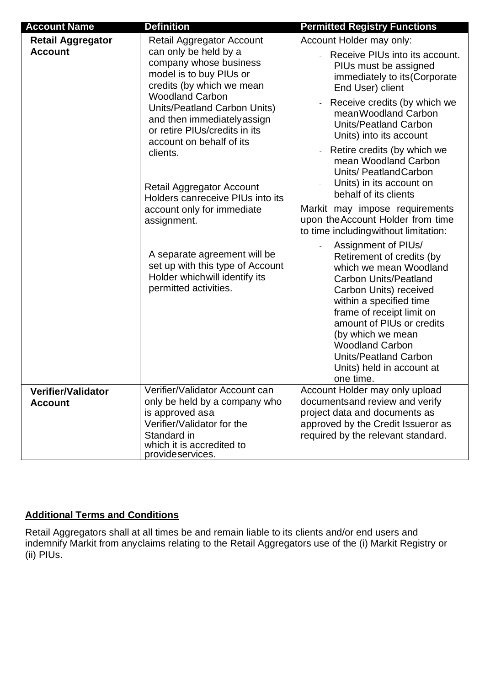| <b>Account Name</b>                         | <b>Definition</b>                                                                                                                                                                                                                                                                                                                                                                                                                                                                                                                                          | <b>Permitted Registry Functions</b>                                                                                                                                                                                                                                                                                                                                                                                                                                                                                                                                                                                                                                                                                                                                                                                                                                     |
|---------------------------------------------|------------------------------------------------------------------------------------------------------------------------------------------------------------------------------------------------------------------------------------------------------------------------------------------------------------------------------------------------------------------------------------------------------------------------------------------------------------------------------------------------------------------------------------------------------------|-------------------------------------------------------------------------------------------------------------------------------------------------------------------------------------------------------------------------------------------------------------------------------------------------------------------------------------------------------------------------------------------------------------------------------------------------------------------------------------------------------------------------------------------------------------------------------------------------------------------------------------------------------------------------------------------------------------------------------------------------------------------------------------------------------------------------------------------------------------------------|
| <b>Retail Aggregator</b><br><b>Account</b>  | Retail Aggregator Account<br>can only be held by a<br>company whose business<br>model is to buy PIUs or<br>credits (by which we mean<br><b>Woodland Carbon</b><br>Units/Peatland Carbon Units)<br>and then immediately assign<br>or retire PIUs/credits in its<br>account on behalf of its<br>clients.<br><b>Retail Aggregator Account</b><br>Holders canreceive PIUs into its<br>account only for immediate<br>assignment.<br>A separate agreement will be<br>set up with this type of Account<br>Holder which will identify its<br>permitted activities. | Account Holder may only:<br>Receive PIUs into its account.<br>PIUs must be assigned<br>immediately to its (Corporate<br>End User) client<br>Receive credits (by which we<br>mean Woodland Carbon<br><b>Units/Peatland Carbon</b><br>Units) into its account<br>Retire credits (by which we<br>mean Woodland Carbon<br>Units/ Peatland Carbon<br>Units) in its account on<br>behalf of its clients<br>Markit may impose requirements<br>upon the Account Holder from time<br>to time including without limitation:<br>Assignment of PIUs/<br>Retirement of credits (by<br>which we mean Woodland<br><b>Carbon Units/Peatland</b><br>Carbon Units) received<br>within a specified time<br>frame of receipt limit on<br>amount of PIUs or credits<br>(by which we mean<br><b>Woodland Carbon</b><br><b>Units/Peatland Carbon</b><br>Units) held in account at<br>one time. |
| <b>Verifier/Validator</b><br><b>Account</b> | Verifier/Validator Account can<br>only be held by a company who<br>is approved asa<br>Verifier/Validator for the<br>Standard in<br>which it is accredited to<br>provideservices.                                                                                                                                                                                                                                                                                                                                                                           | Account Holder may only upload<br>documentsand review and verify<br>project data and documents as<br>approved by the Credit Issueror as<br>required by the relevant standard.                                                                                                                                                                                                                                                                                                                                                                                                                                                                                                                                                                                                                                                                                           |

#### **Additional Terms and Conditions**

Retail Aggregators shall at all times be and remain liable to its clients and/or end users and indemnify Markit from anyclaims relating to the Retail Aggregators use of the (i) Markit Registry or (ii) PIUs.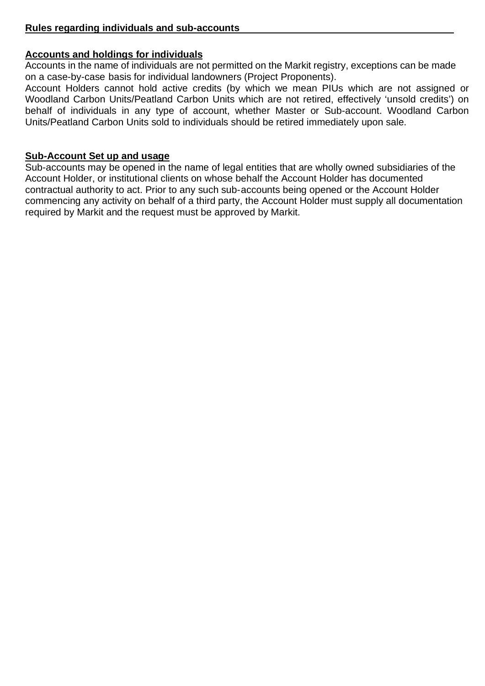#### **Accounts and holdings for individuals**

Accounts in the name of individuals are not permitted on the Markit registry, exceptions can be made on a case-by-case basis for individual landowners (Project Proponents).

Account Holders cannot hold active credits (by which we mean PIUs which are not assigned or Woodland Carbon Units/Peatland Carbon Units which are not retired, effectively 'unsold credits') on behalf of individuals in any type of account, whether Master or Sub-account. Woodland Carbon Units/Peatland Carbon Units sold to individuals should be retired immediately upon sale.

#### **Sub-Account Set up and usage**

Sub-accounts may be opened in the name of legal entities that are wholly owned subsidiaries of the Account Holder, or institutional clients on whose behalf the Account Holder has documented contractual authority to act. Prior to any such sub-accounts being opened or the Account Holder commencing any activity on behalf of a third party, the Account Holder must supply all documentation required by Markit and the request must be approved by Markit.